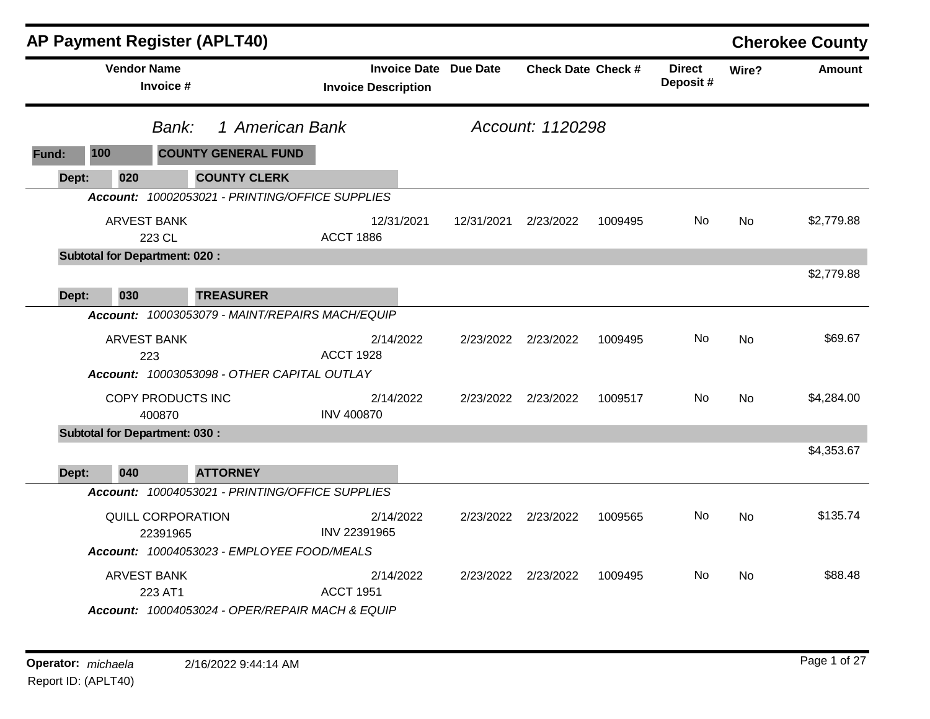|       |                                      |                                      | <b>AP Payment Register (APLT40)</b>             |                            |            |                              |                           |         |                           |           | <b>Cherokee County</b> |
|-------|--------------------------------------|--------------------------------------|-------------------------------------------------|----------------------------|------------|------------------------------|---------------------------|---------|---------------------------|-----------|------------------------|
|       | <b>Vendor Name</b>                   | Invoice #                            |                                                 | <b>Invoice Description</b> |            | <b>Invoice Date Due Date</b> | <b>Check Date Check #</b> |         | <b>Direct</b><br>Deposit# | Wire?     | <b>Amount</b>          |
|       |                                      | Bank:                                | 1 American Bank                                 | Account: 1120298           |            |                              |                           |         |                           |           |                        |
| Fund: | 100                                  |                                      | <b>COUNTY GENERAL FUND</b>                      |                            |            |                              |                           |         |                           |           |                        |
| Dept: | 020                                  |                                      | <b>COUNTY CLERK</b>                             |                            |            |                              |                           |         |                           |           |                        |
|       |                                      |                                      | Account: 10002053021 - PRINTING/OFFICE SUPPLIES |                            |            |                              |                           |         |                           |           |                        |
|       |                                      | <b>ARVEST BANK</b><br>223 CL         |                                                 | <b>ACCT 1886</b>           | 12/31/2021 | 12/31/2021                   | 2/23/2022                 | 1009495 | No.                       | No        | \$2,779.88             |
|       | <b>Subtotal for Department: 020:</b> |                                      |                                                 |                            |            |                              |                           |         |                           |           |                        |
| Dept: | 030                                  |                                      | <b>TREASURER</b>                                |                            |            |                              |                           |         |                           |           | \$2,779.88             |
|       |                                      |                                      | Account: 10003053079 - MAINT/REPAIRS MACH/EQUIP |                            |            |                              |                           |         |                           |           |                        |
|       |                                      | <b>ARVEST BANK</b><br>223            |                                                 | <b>ACCT 1928</b>           | 2/14/2022  | 2/23/2022                    | 2/23/2022                 | 1009495 | No.                       | <b>No</b> | \$69.67                |
|       |                                      |                                      | Account: 10003053098 - OTHER CAPITAL OUTLAY     |                            |            |                              |                           |         |                           |           |                        |
|       |                                      | COPY PRODUCTS INC<br>400870          |                                                 | <b>INV 400870</b>          | 2/14/2022  |                              | 2/23/2022 2/23/2022       | 1009517 | No.                       | <b>No</b> | \$4,284.00             |
|       | <b>Subtotal for Department: 030:</b> |                                      |                                                 |                            |            |                              |                           |         |                           |           |                        |
| Dept: | 040                                  |                                      | <b>ATTORNEY</b>                                 |                            |            |                              |                           |         |                           |           | \$4,353.67             |
|       |                                      |                                      | Account: 10004053021 - PRINTING/OFFICE SUPPLIES |                            |            |                              |                           |         |                           |           |                        |
|       |                                      | <b>QUILL CORPORATION</b><br>22391965 | Account: 10004053023 - EMPLOYEE FOOD/MEALS      | INV 22391965               | 2/14/2022  | 2/23/2022                    | 2/23/2022                 | 1009565 | No.                       | <b>No</b> | \$135.74               |
|       |                                      | <b>ARVEST BANK</b><br>223 AT1        | Account: 10004053024 - OPER/REPAIR MACH & EQUIP | <b>ACCT 1951</b>           | 2/14/2022  | 2/23/2022                    | 2/23/2022                 | 1009495 | No.                       | <b>No</b> | \$88.48                |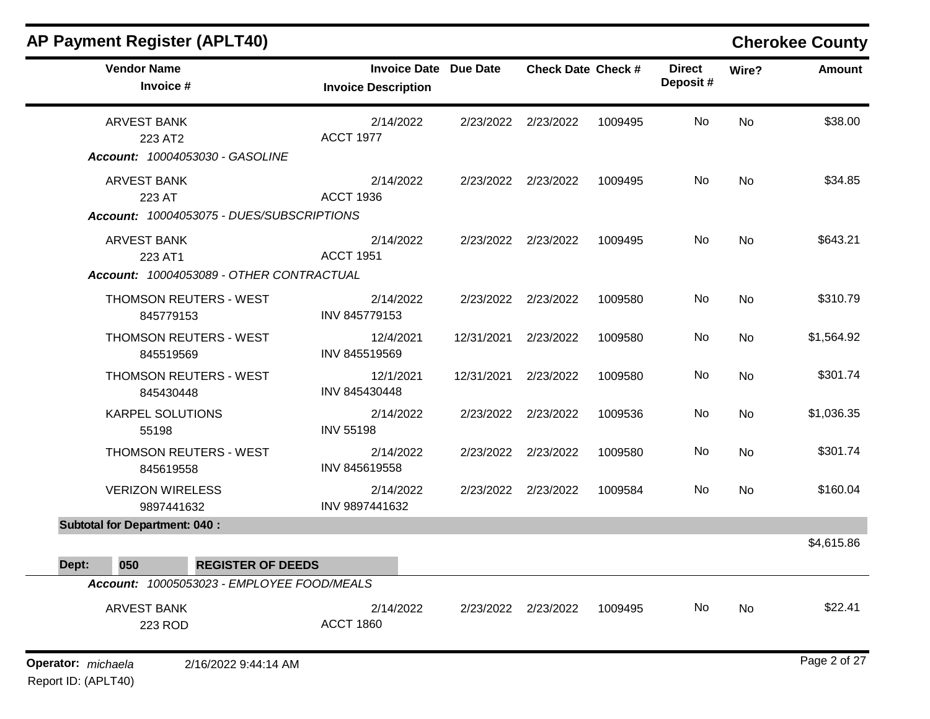|       | <b>AP Payment Register (APLT40)</b>        |                                            |                            |                     |                 |                           |         |                           |           | <b>Cherokee County</b> |
|-------|--------------------------------------------|--------------------------------------------|----------------------------|---------------------|-----------------|---------------------------|---------|---------------------------|-----------|------------------------|
|       | <b>Vendor Name</b><br>Invoice #            |                                            | <b>Invoice Description</b> | <b>Invoice Date</b> | <b>Due Date</b> | <b>Check Date Check #</b> |         | <b>Direct</b><br>Deposit# | Wire?     | <b>Amount</b>          |
|       | <b>ARVEST BANK</b><br>223 AT2              | Account: 10004053030 - GASOLINE            | <b>ACCT 1977</b>           | 2/14/2022           | 2/23/2022       | 2/23/2022                 | 1009495 | No                        | No        | \$38.00                |
|       | <b>ARVEST BANK</b><br>223 AT               | Account: 10004053075 - DUES/SUBSCRIPTIONS  | <b>ACCT 1936</b>           | 2/14/2022           | 2/23/2022       | 2/23/2022                 | 1009495 | No                        | No        | \$34.85                |
|       | <b>ARVEST BANK</b><br>223 AT1              | Account: 10004053089 - OTHER CONTRACTUAL   | <b>ACCT 1951</b>           | 2/14/2022           | 2/23/2022       | 2/23/2022                 | 1009495 | No                        | No        | \$643.21               |
|       | <b>THOMSON REUTERS - WEST</b><br>845779153 |                                            | INV 845779153              | 2/14/2022           | 2/23/2022       | 2/23/2022                 | 1009580 | No                        | <b>No</b> | \$310.79               |
|       | <b>THOMSON REUTERS - WEST</b><br>845519569 |                                            | INV 845519569              | 12/4/2021           | 12/31/2021      | 2/23/2022                 | 1009580 | No                        | No        | \$1,564.92             |
|       | <b>THOMSON REUTERS - WEST</b><br>845430448 |                                            | INV 845430448              | 12/1/2021           | 12/31/2021      | 2/23/2022                 | 1009580 | No                        | No        | \$301.74               |
|       | <b>KARPEL SOLUTIONS</b><br>55198           |                                            | <b>INV 55198</b>           | 2/14/2022           | 2/23/2022       | 2/23/2022                 | 1009536 | No                        | No        | \$1,036.35             |
|       | <b>THOMSON REUTERS - WEST</b><br>845619558 |                                            | INV 845619558              | 2/14/2022           | 2/23/2022       | 2/23/2022                 | 1009580 | No                        | No        | \$301.74               |
|       | <b>VERIZON WIRELESS</b><br>9897441632      |                                            | INV 9897441632             | 2/14/2022           | 2/23/2022       | 2/23/2022                 | 1009584 | No                        | No        | \$160.04               |
|       | <b>Subtotal for Department: 040:</b>       |                                            |                            |                     |                 |                           |         |                           |           | \$4,615.86             |
| Dept: | 050                                        | <b>REGISTER OF DEEDS</b>                   |                            |                     |                 |                           |         |                           |           |                        |
|       |                                            | Account: 10005053023 - EMPLOYEE FOOD/MEALS |                            |                     |                 |                           |         |                           |           |                        |
|       | <b>ARVEST BANK</b><br>223 ROD              |                                            | <b>ACCT 1860</b>           | 2/14/2022           |                 | 2/23/2022 2/23/2022       | 1009495 | No                        | No        | \$22.41                |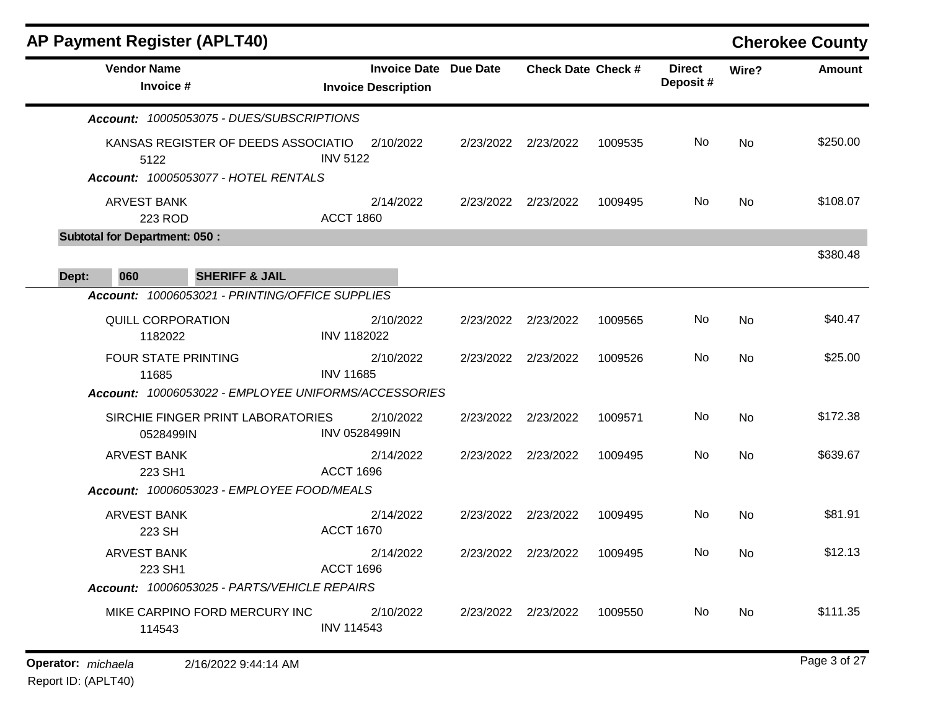| <b>AP Payment Register (APLT40)</b>                  |                                                   |                 |                           |         |                           |       | <b>Cherokee County</b> |
|------------------------------------------------------|---------------------------------------------------|-----------------|---------------------------|---------|---------------------------|-------|------------------------|
| <b>Vendor Name</b><br>Invoice #                      | <b>Invoice Date</b><br><b>Invoice Description</b> | <b>Due Date</b> | <b>Check Date Check #</b> |         | <b>Direct</b><br>Deposit# | Wire? | <b>Amount</b>          |
| Account: 10005053075 - DUES/SUBSCRIPTIONS            |                                                   |                 |                           |         |                           |       |                        |
| KANSAS REGISTER OF DEEDS ASSOCIATIO<br>5122          | 2/10/2022<br><b>INV 5122</b>                      | 2/23/2022       | 2/23/2022                 | 1009535 | No                        | No    | \$250.00               |
| <b>Account: 10005053077 - HOTEL RENTALS</b>          |                                                   |                 |                           |         |                           |       |                        |
| ARVEST BANK<br>223 ROD                               | 2/14/2022<br><b>ACCT 1860</b>                     | 2/23/2022       | 2/23/2022                 | 1009495 | No.                       | No    | \$108.07               |
| <b>Subtotal for Department: 050:</b>                 |                                                   |                 |                           |         |                           |       |                        |
|                                                      |                                                   |                 |                           |         |                           |       | \$380.48               |
| <b>SHERIFF &amp; JAIL</b><br>060<br>Dept:            |                                                   |                 |                           |         |                           |       |                        |
| Account: 10006053021 - PRINTING/OFFICE SUPPLIES      |                                                   |                 |                           |         |                           |       |                        |
| QUILL CORPORATION<br>1182022                         | 2/10/2022<br><b>INV 1182022</b>                   |                 | 2/23/2022 2/23/2022       | 1009565 | No                        | No    | \$40.47                |
| <b>FOUR STATE PRINTING</b><br>11685                  | 2/10/2022<br><b>INV 11685</b>                     |                 | 2/23/2022 2/23/2022       | 1009526 | No                        | No    | \$25.00                |
| Account: 10006053022 - EMPLOYEE UNIFORMS/ACCESSORIES |                                                   |                 |                           |         |                           |       |                        |
| SIRCHIE FINGER PRINT LABORATORIES<br>0528499IN       | 2/10/2022<br>INV 0528499IN                        | 2/23/2022       | 2/23/2022                 | 1009571 | No                        | No    | \$172.38               |
| <b>ARVEST BANK</b><br>223 SH1                        | 2/14/2022<br><b>ACCT 1696</b>                     | 2/23/2022       | 2/23/2022                 | 1009495 | No                        | No    | \$639.67               |
| Account: 10006053023 - EMPLOYEE FOOD/MEALS           |                                                   |                 |                           |         |                           |       |                        |
| ARVEST BANK<br>223 SH                                | 2/14/2022<br><b>ACCT 1670</b>                     | 2/23/2022       | 2/23/2022                 | 1009495 | No                        | No    | \$81.91                |
| <b>ARVEST BANK</b><br>223 SH1                        | 2/14/2022<br><b>ACCT 1696</b>                     | 2/23/2022       | 2/23/2022                 | 1009495 | No                        | No.   | \$12.13                |
| Account: 10006053025 - PARTS/VEHICLE REPAIRS         |                                                   |                 |                           |         |                           |       |                        |
| MIKE CARPINO FORD MERCURY INC<br>114543              | 2/10/2022<br><b>INV 114543</b>                    |                 | 2/23/2022 2/23/2022       | 1009550 | No                        | No    | \$111.35               |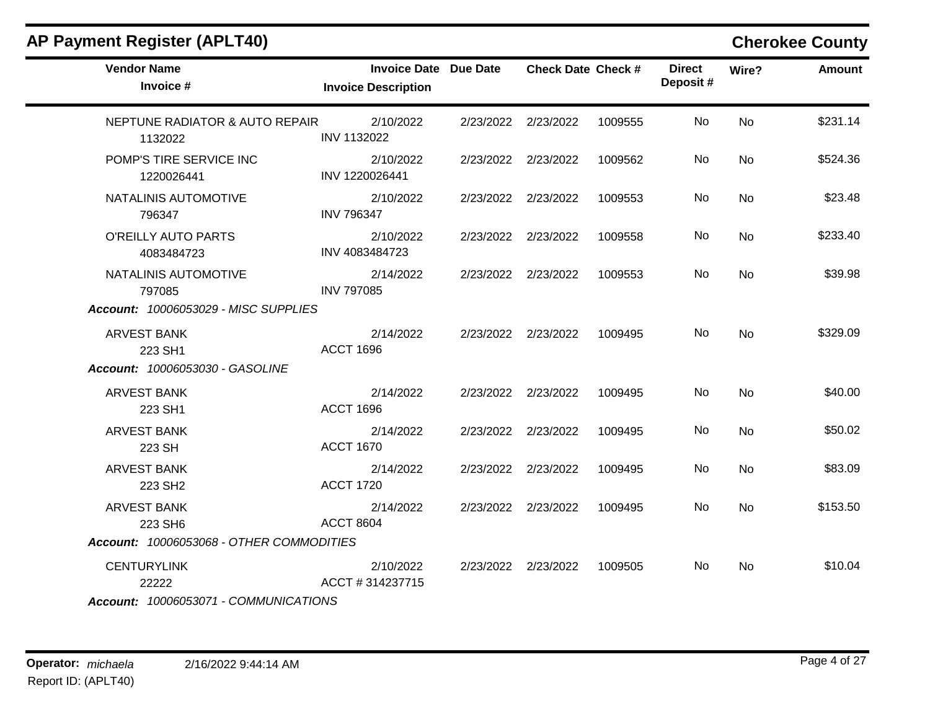| <b>AP Payment Register (APLT40)</b>       |                                                            |                           |         |                           |           | <b>Cherokee County</b> |
|-------------------------------------------|------------------------------------------------------------|---------------------------|---------|---------------------------|-----------|------------------------|
| <b>Vendor Name</b><br>Invoice #           | <b>Invoice Date Due Date</b><br><b>Invoice Description</b> | <b>Check Date Check #</b> |         | <b>Direct</b><br>Deposit# | Wire?     | Amount                 |
| NEPTUNE RADIATOR & AUTO REPAIR<br>1132022 | 2/10/2022<br>INV 1132022                                   | 2/23/2022 2/23/2022       | 1009555 | No                        | <b>No</b> | \$231.14               |
| POMP'S TIRE SERVICE INC<br>1220026441     | 2/10/2022<br>INV 1220026441                                | 2/23/2022 2/23/2022       | 1009562 | No                        | <b>No</b> | \$524.36               |
| NATALINIS AUTOMOTIVE<br>796347            | 2/10/2022<br><b>INV 796347</b>                             | 2/23/2022 2/23/2022       | 1009553 | No                        | No        | \$23.48                |
| O'REILLY AUTO PARTS<br>4083484723         | 2/10/2022<br>INV 4083484723                                | 2/23/2022 2/23/2022       | 1009558 | No                        | No        | \$233.40               |
| NATALINIS AUTOMOTIVE<br>797085            | 2/14/2022<br><b>INV 797085</b>                             | 2/23/2022 2/23/2022       | 1009553 | No                        | <b>No</b> | \$39.98                |
| Account: 10006053029 - MISC SUPPLIES      |                                                            |                           |         |                           |           |                        |
| <b>ARVEST BANK</b><br>223 SH1             | 2/14/2022<br><b>ACCT 1696</b>                              | 2/23/2022 2/23/2022       | 1009495 | No.                       | <b>No</b> | \$329.09               |
| <b>Account: 10006053030 - GASOLINE</b>    |                                                            |                           |         |                           |           |                        |
| <b>ARVEST BANK</b><br>223 SH1             | 2/14/2022<br><b>ACCT 1696</b>                              | 2/23/2022 2/23/2022       | 1009495 | No                        | No        | \$40.00                |
| <b>ARVEST BANK</b><br>223 SH              | 2/14/2022<br><b>ACCT 1670</b>                              | 2/23/2022 2/23/2022       | 1009495 | No                        | <b>No</b> | \$50.02                |
| <b>ARVEST BANK</b><br>223 SH <sub>2</sub> | 2/14/2022<br><b>ACCT 1720</b>                              | 2/23/2022 2/23/2022       | 1009495 | No                        | <b>No</b> | \$83.09                |
| <b>ARVEST BANK</b><br>223 SH6             | 2/14/2022<br><b>ACCT 8604</b>                              | 2/23/2022 2/23/2022       | 1009495 | No                        | No        | \$153.50               |
| Account: 10006053068 - OTHER COMMODITIES  |                                                            |                           |         |                           |           |                        |
| <b>CENTURYLINK</b><br>22222               | 2/10/2022<br>ACCT #314237715                               | 2/23/2022 2/23/2022       | 1009505 | No                        | <b>No</b> | \$10.04                |

*Account: 10006053071 - COMMUNICATIONS*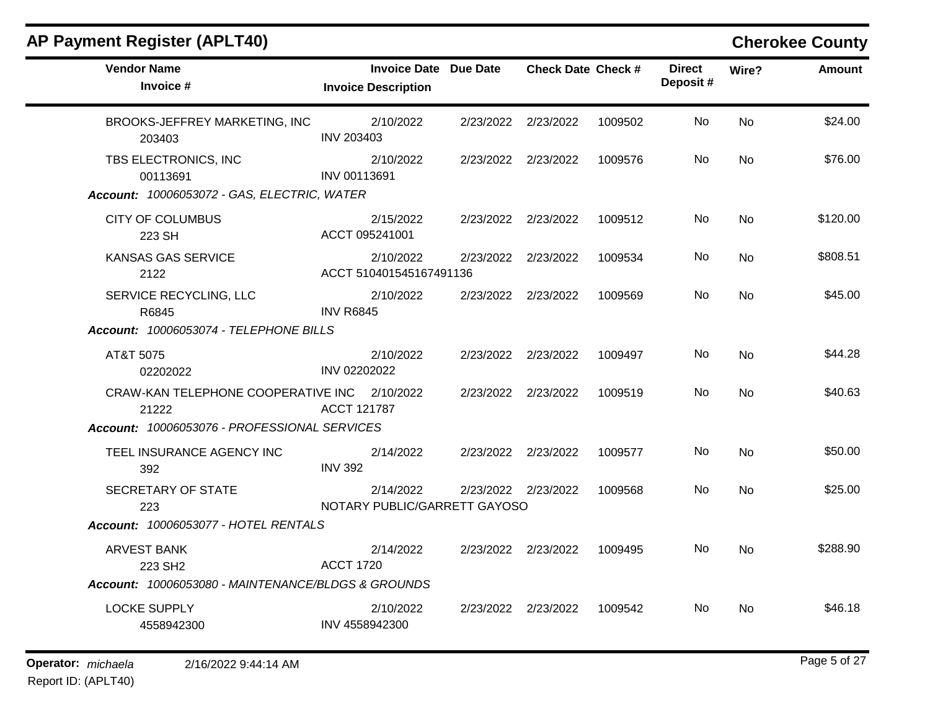| <b>Vendor Name</b><br>Invoice #                       | <b>Invoice Date Due Date</b><br><b>Invoice Description</b> | <b>Check Date Check #</b> |         | <b>Direct</b><br>Deposit# | Wire?     | <b>Amount</b> |
|-------------------------------------------------------|------------------------------------------------------------|---------------------------|---------|---------------------------|-----------|---------------|
| BROOKS-JEFFREY MARKETING, INC<br>203403               | 2/10/2022<br><b>INV 203403</b>                             | 2/23/2022 2/23/2022       | 1009502 | No.                       | No        | \$24.00       |
| TBS ELECTRONICS, INC<br>00113691                      | 2/10/2022<br>INV 00113691                                  | 2/23/2022 2/23/2022       | 1009576 | No.                       | No        | \$76.00       |
| Account: 10006053072 - GAS, ELECTRIC, WATER           |                                                            |                           |         |                           |           |               |
| <b>CITY OF COLUMBUS</b><br>223 SH                     | 2/15/2022<br>ACCT 095241001                                | 2/23/2022 2/23/2022       | 1009512 | No.                       | No        | \$120.00      |
| <b>KANSAS GAS SERVICE</b><br>2122                     | 2/10/2022<br>ACCT 510401545167491136                       | 2/23/2022 2/23/2022       | 1009534 | No.                       | <b>No</b> | \$808.51      |
| SERVICE RECYCLING, LLC<br>R6845                       | 2/10/2022<br><b>INV R6845</b>                              | 2/23/2022 2/23/2022       | 1009569 | No                        | <b>No</b> | \$45.00       |
| Account: 10006053074 - TELEPHONE BILLS                |                                                            |                           |         |                           |           |               |
| AT&T 5075<br>02202022                                 | 2/10/2022<br>INV 02202022                                  | 2/23/2022 2/23/2022       | 1009497 | No.                       | <b>No</b> | \$44.28       |
| CRAW-KAN TELEPHONE COOPERATIVE INC 2/10/2022<br>21222 | ACCT 121787                                                | 2/23/2022 2/23/2022       | 1009519 | No.                       | <b>No</b> | \$40.63       |
| Account: 10006053076 - PROFESSIONAL SERVICES          |                                                            |                           |         |                           |           |               |
| TEEL INSURANCE AGENCY INC<br>392                      | 2/14/2022<br><b>INV 392</b>                                | 2/23/2022 2/23/2022       | 1009577 | No.                       | <b>No</b> | \$50.00       |
| SECRETARY OF STATE<br>223                             | 2/14/2022<br>NOTARY PUBLIC/GARRETT GAYOSO                  | 2/23/2022 2/23/2022       | 1009568 | No.                       | <b>No</b> | \$25.00       |
| Account: 10006053077 - HOTEL RENTALS                  |                                                            |                           |         |                           |           |               |
| <b>ARVEST BANK</b><br>223 SH <sub>2</sub>             | 2/14/2022<br><b>ACCT 1720</b>                              | 2/23/2022 2/23/2022       | 1009495 | No.                       | <b>No</b> | \$288.90      |
| Account: 10006053080 - MAINTENANCE/BLDGS & GROUNDS    |                                                            |                           |         |                           |           |               |
| <b>LOCKE SUPPLY</b><br>4558942300                     | 2/10/2022<br>INV 4558942300                                | 2/23/2022 2/23/2022       | 1009542 | No.                       | No        | \$46.18       |
|                                                       |                                                            |                           |         |                           |           |               |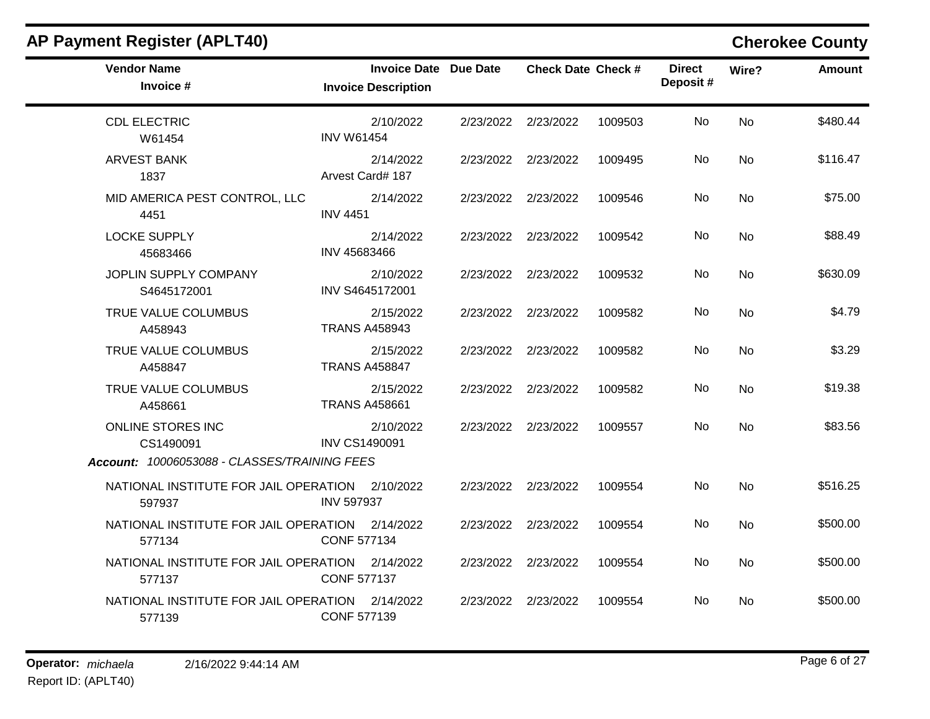| <b>Vendor Name</b><br>Invoice #                           | Invoice Date Due Date<br><b>Invoice Description</b> |                     | <b>Check Date Check #</b> |         | <b>Direct</b><br>Deposit# | Wire?     | Amount   |
|-----------------------------------------------------------|-----------------------------------------------------|---------------------|---------------------------|---------|---------------------------|-----------|----------|
| <b>CDL ELECTRIC</b><br>W61454                             | 2/10/2022<br><b>INV W61454</b>                      |                     | 2/23/2022 2/23/2022       | 1009503 | No                        | <b>No</b> | \$480.44 |
| <b>ARVEST BANK</b><br>1837                                | 2/14/2022<br>Arvest Card# 187                       |                     | 2/23/2022 2/23/2022       | 1009495 | No                        | <b>No</b> | \$116.47 |
| MID AMERICA PEST CONTROL, LLC<br>4451                     | 2/14/2022<br><b>INV 4451</b>                        | 2/23/2022 2/23/2022 |                           | 1009546 | No                        | No        | \$75.00  |
| <b>LOCKE SUPPLY</b><br>45683466                           | 2/14/2022<br>INV 45683466                           |                     | 2/23/2022 2/23/2022       | 1009542 | No                        | <b>No</b> | \$88.49  |
| JOPLIN SUPPLY COMPANY<br>S4645172001                      | 2/10/2022<br>INV S4645172001                        | 2/23/2022 2/23/2022 |                           | 1009532 | No                        | <b>No</b> | \$630.09 |
| TRUE VALUE COLUMBUS<br>A458943                            | 2/15/2022<br><b>TRANS A458943</b>                   |                     | 2/23/2022 2/23/2022       | 1009582 | No.                       | No        | \$4.79   |
| TRUE VALUE COLUMBUS<br>A458847                            | 2/15/2022<br><b>TRANS A458847</b>                   |                     | 2/23/2022 2/23/2022       | 1009582 | No.                       | <b>No</b> | \$3.29   |
| TRUE VALUE COLUMBUS<br>A458661                            | 2/15/2022<br><b>TRANS A458661</b>                   |                     | 2/23/2022 2/23/2022       | 1009582 | No.                       | No        | \$19.38  |
| ONLINE STORES INC<br>CS1490091                            | 2/10/2022<br><b>INV CS1490091</b>                   |                     | 2/23/2022 2/23/2022       | 1009557 | No                        | <b>No</b> | \$83.56  |
| Account: 10006053088 - CLASSES/TRAINING FEES              |                                                     |                     |                           |         |                           |           |          |
| NATIONAL INSTITUTE FOR JAIL OPERATION 2/10/2022<br>597937 | <b>INV 597937</b>                                   | 2/23/2022 2/23/2022 |                           | 1009554 | No                        | <b>No</b> | \$516.25 |
| NATIONAL INSTITUTE FOR JAIL OPERATION 2/14/2022<br>577134 | <b>CONF 577134</b>                                  |                     | 2/23/2022 2/23/2022       | 1009554 | No.                       | <b>No</b> | \$500.00 |
| NATIONAL INSTITUTE FOR JAIL OPERATION 2/14/2022<br>577137 | <b>CONF 577137</b>                                  | 2/23/2022 2/23/2022 |                           | 1009554 | No                        | <b>No</b> | \$500.00 |
| NATIONAL INSTITUTE FOR JAIL OPERATION 2/14/2022<br>577139 | <b>CONF 577139</b>                                  | 2/23/2022 2/23/2022 |                           | 1009554 | No.                       | <b>No</b> | \$500.00 |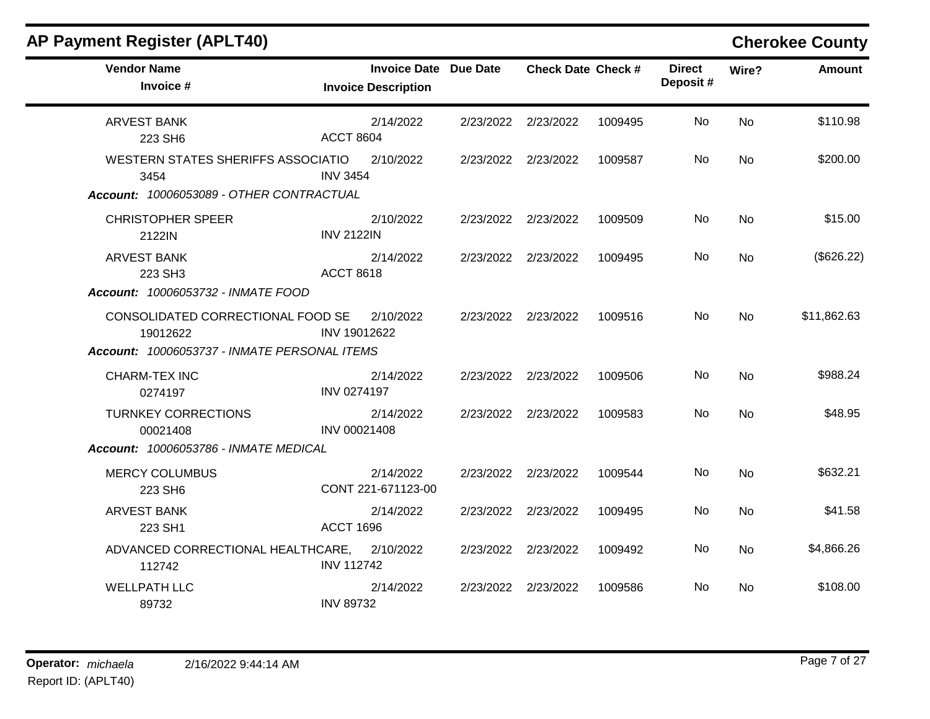| <b>AP Payment Register (APLT40)</b>                                                           |                                                            |           |                           |         |                           |           | <b>Cherokee County</b> |
|-----------------------------------------------------------------------------------------------|------------------------------------------------------------|-----------|---------------------------|---------|---------------------------|-----------|------------------------|
| <b>Vendor Name</b><br>Invoice #                                                               | <b>Invoice Date Due Date</b><br><b>Invoice Description</b> |           | <b>Check Date Check #</b> |         | <b>Direct</b><br>Deposit# | Wire?     | <b>Amount</b>          |
| <b>ARVEST BANK</b><br>223 SH6                                                                 | 2/14/2022<br><b>ACCT 8604</b>                              |           | 2/23/2022 2/23/2022       | 1009495 | No                        | <b>No</b> | \$110.98               |
| <b>WESTERN STATES SHERIFFS ASSOCIATIO</b><br>3454<br>Account: 10006053089 - OTHER CONTRACTUAL | 2/10/2022<br><b>INV 3454</b>                               |           | 2/23/2022 2/23/2022       | 1009587 | No                        | No        | \$200.00               |
| <b>CHRISTOPHER SPEER</b><br>2122IN                                                            | 2/10/2022<br><b>INV 2122IN</b>                             |           | 2/23/2022 2/23/2022       | 1009509 | No                        | No        | \$15.00                |
| <b>ARVEST BANK</b><br>223 SH3<br>Account: 10006053732 - INMATE FOOD                           | 2/14/2022<br><b>ACCT 8618</b>                              |           | 2/23/2022 2/23/2022       | 1009495 | No                        | <b>No</b> | (\$626.22)             |
| CONSOLIDATED CORRECTIONAL FOOD SE<br>19012622<br>Account: 10006053737 - INMATE PERSONAL ITEMS | 2/10/2022<br>INV 19012622                                  |           | 2/23/2022 2/23/2022       | 1009516 | No                        | <b>No</b> | \$11,862.63            |
| <b>CHARM-TEX INC</b><br>0274197                                                               | 2/14/2022<br><b>INV 0274197</b>                            |           | 2/23/2022 2/23/2022       | 1009506 | No                        | <b>No</b> | \$988.24               |
| <b>TURNKEY CORRECTIONS</b><br>00021408<br>Account: 10006053786 - INMATE MEDICAL               | 2/14/2022<br>INV 00021408                                  |           | 2/23/2022 2/23/2022       | 1009583 | No.                       | <b>No</b> | \$48.95                |
| <b>MERCY COLUMBUS</b><br>223 SH6                                                              | 2/14/2022<br>CONT 221-671123-00                            | 2/23/2022 | 2/23/2022                 | 1009544 | No                        | No        | \$632.21               |
| <b>ARVEST BANK</b><br>223 SH1                                                                 | 2/14/2022<br><b>ACCT 1696</b>                              | 2/23/2022 | 2/23/2022                 | 1009495 | No                        | No        | \$41.58                |
| ADVANCED CORRECTIONAL HEALTHCARE,<br>112742                                                   | 2/10/2022<br><b>INV 112742</b>                             |           | 2/23/2022 2/23/2022       | 1009492 | No                        | <b>No</b> | \$4,866.26             |
| <b>WELLPATH LLC</b><br>89732                                                                  | 2/14/2022<br><b>INV 89732</b>                              |           | 2/23/2022 2/23/2022       | 1009586 | No                        | No.       | \$108.00               |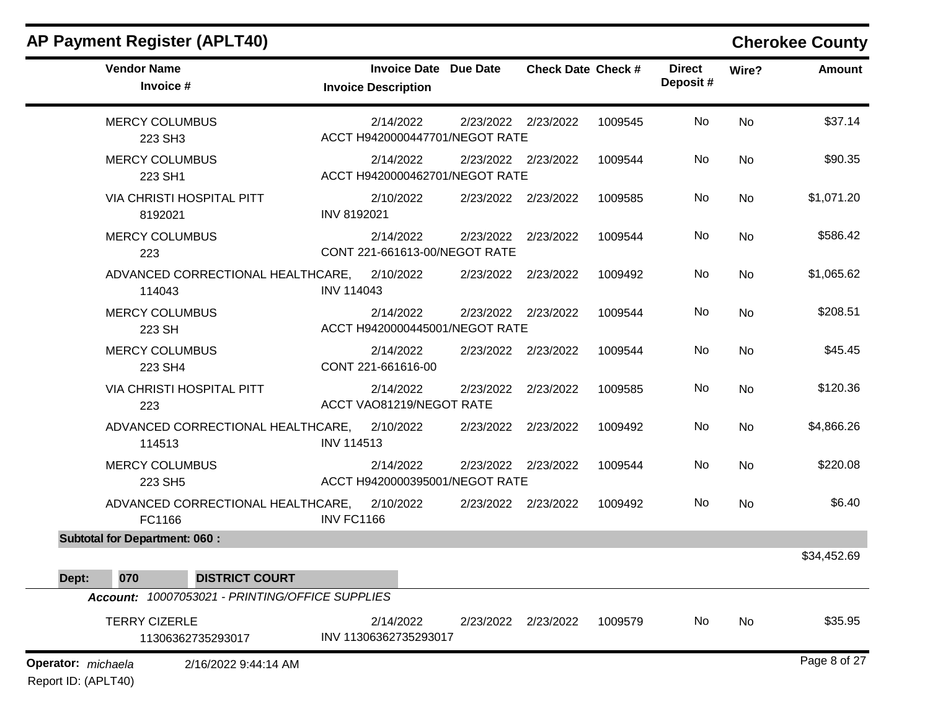### **AP Payment Register (APLT40) Cherokee County Vendor Name Invoice Date Due Date Check Date Invoice # Check Date Check # Invoice Description Direct Wire? Amount Deposit #** MERCY COLUMBUS 223 SH3 2/14/2022 2/23/2022 2/23/2022 1009545 No \$37.14 ACCT H9420000447701/NEGOT RATE No MERCY COLUMBUS 223 SH1 2/14/2022 2/23/2022 2/23/2022 1009544 No \$90.35 ACCT H9420000462701/NEGOT RATE No VIA CHRISTI HOSPITAL PITT 8192021 2/10/2022 2/23/2022 2/23/2022 1009585 No \$1,071.20 INV 8192021 No MERCY COLUMBUS 223 2/14/2022 2/23/2022 2/23/2022 1009544 No \$586.42 CONT 221-661613-00/NEGOT RATE No ADVANCED CORRECTIONAL HEALTHCARE, 114043 2/10/2022 2/23/2022 2/23/2022 1009492 No \$1,065.62 INV 114043 No MERCY COLUMBUS 223 SH 2/14/2022 2/23/2022 2/23/2022 1009544 No \$208.51 ACCT H9420000445001/NEGOT RATE No MERCY COLUMBUS 223 SH4 2/14/2022 2/23/2022 2/23/2022 1009544 No \$45.45 CONT 221-661616-00 No VIA CHRISTI HOSPITAL PITT 223 2/14/2022 2/23/2022 2/23/2022 1009585 No \$120.36 ACCT VAO81219/NEGOT RATE No ADVANCED CORRECTIONAL HEALTHCARE, 114513 2/10/2022 2/23/2022 2/23/2022 1009492 No \$4,866.26 INV 114513 No MERCY COLUMBUS 223 SH5 2/14/2022 2/23/2022 2/23/2022 1009544 No \$220.08 ACCT H9420000395001/NEGOT RATE No ADVANCED CORRECTIONAL HEALTHCARE, FC1166 2/10/2022 2/23/2022 2/23/2022 1009492 No \$6.40 INV FC1166 No **Subtotal for Department: 060 :**  \$34,452.69 **Dept: 070 DISTRICT COURT** *Account: 10007053021 - PRINTING/OFFICE SUPPLIES* TERRY CIZERLE 11306362735293017 2/14/2022 2/23/2022 2/23/2022 1009579 No \$35.95 INV 11306362735293017 No **Operator:** *michaela* Page 8 of 27 2/16/2022 9:44:14 AM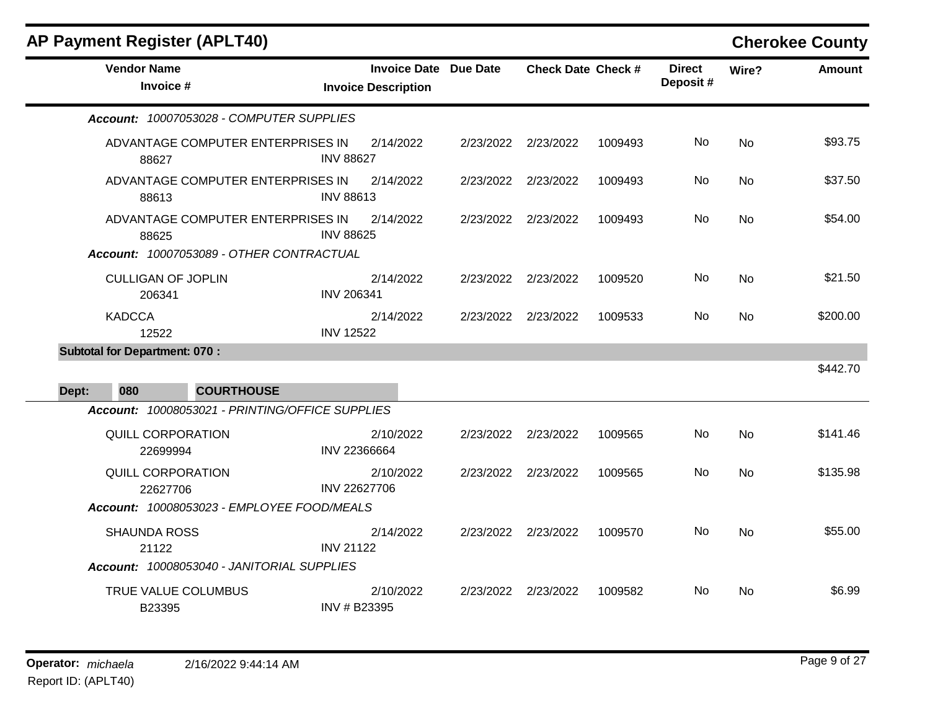|       |                                      | <b>AP Payment Register (APLT40)</b>             |                   |                                                     |           |                           |         |                           |           | <b>Cherokee County</b> |
|-------|--------------------------------------|-------------------------------------------------|-------------------|-----------------------------------------------------|-----------|---------------------------|---------|---------------------------|-----------|------------------------|
|       | <b>Vendor Name</b><br>Invoice #      |                                                 |                   | Invoice Date Due Date<br><b>Invoice Description</b> |           | <b>Check Date Check #</b> |         | <b>Direct</b><br>Deposit# | Wire?     | <b>Amount</b>          |
|       |                                      | Account: 10007053028 - COMPUTER SUPPLIES        |                   |                                                     |           |                           |         |                           |           |                        |
|       | 88627                                | ADVANTAGE COMPUTER ENTERPRISES IN               | <b>INV 88627</b>  | 2/14/2022                                           |           | 2/23/2022 2/23/2022       | 1009493 | No                        | No        | \$93.75                |
|       | 88613                                | ADVANTAGE COMPUTER ENTERPRISES IN               | <b>INV 88613</b>  | 2/14/2022                                           | 2/23/2022 | 2/23/2022                 | 1009493 | No                        | <b>No</b> | \$37.50                |
|       | 88625                                | ADVANTAGE COMPUTER ENTERPRISES IN               | <b>INV 88625</b>  | 2/14/2022                                           | 2/23/2022 | 2/23/2022                 | 1009493 | No                        | <b>No</b> | \$54.00                |
|       |                                      | Account: 10007053089 - OTHER CONTRACTUAL        |                   |                                                     |           |                           |         |                           |           |                        |
|       | <b>CULLIGAN OF JOPLIN</b><br>206341  |                                                 | <b>INV 206341</b> | 2/14/2022                                           |           | 2/23/2022 2/23/2022       | 1009520 | No.                       | No        | \$21.50                |
|       | <b>KADCCA</b><br>12522               |                                                 | <b>INV 12522</b>  | 2/14/2022                                           | 2/23/2022 | 2/23/2022                 | 1009533 | No.                       | No        | \$200.00               |
|       | <b>Subtotal for Department: 070:</b> |                                                 |                   |                                                     |           |                           |         |                           |           |                        |
|       |                                      |                                                 |                   |                                                     |           |                           |         |                           |           | \$442.70               |
| Dept: | 080                                  | <b>COURTHOUSE</b>                               |                   |                                                     |           |                           |         |                           |           |                        |
|       |                                      | Account: 10008053021 - PRINTING/OFFICE SUPPLIES |                   |                                                     |           |                           |         |                           |           |                        |
|       | <b>QUILL CORPORATION</b><br>22699994 |                                                 | INV 22366664      | 2/10/2022                                           |           | 2/23/2022 2/23/2022       | 1009565 | No.                       | No        | \$141.46               |
|       | <b>QUILL CORPORATION</b><br>22627706 |                                                 | INV 22627706      | 2/10/2022                                           | 2/23/2022 | 2/23/2022                 | 1009565 | No                        | No        | \$135.98               |
|       |                                      | Account: 10008053023 - EMPLOYEE FOOD/MEALS      |                   |                                                     |           |                           |         |                           |           |                        |
|       | <b>SHAUNDA ROSS</b><br>21122         |                                                 | <b>INV 21122</b>  | 2/14/2022                                           |           | 2/23/2022 2/23/2022       | 1009570 | No.                       | No        | \$55.00                |
|       |                                      | Account: 10008053040 - JANITORIAL SUPPLIES      |                   |                                                     |           |                           |         |                           |           |                        |
|       | TRUE VALUE COLUMBUS<br>B23395        |                                                 | INV # B23395      | 2/10/2022                                           |           | 2/23/2022 2/23/2022       | 1009582 | No.                       | No        | \$6.99                 |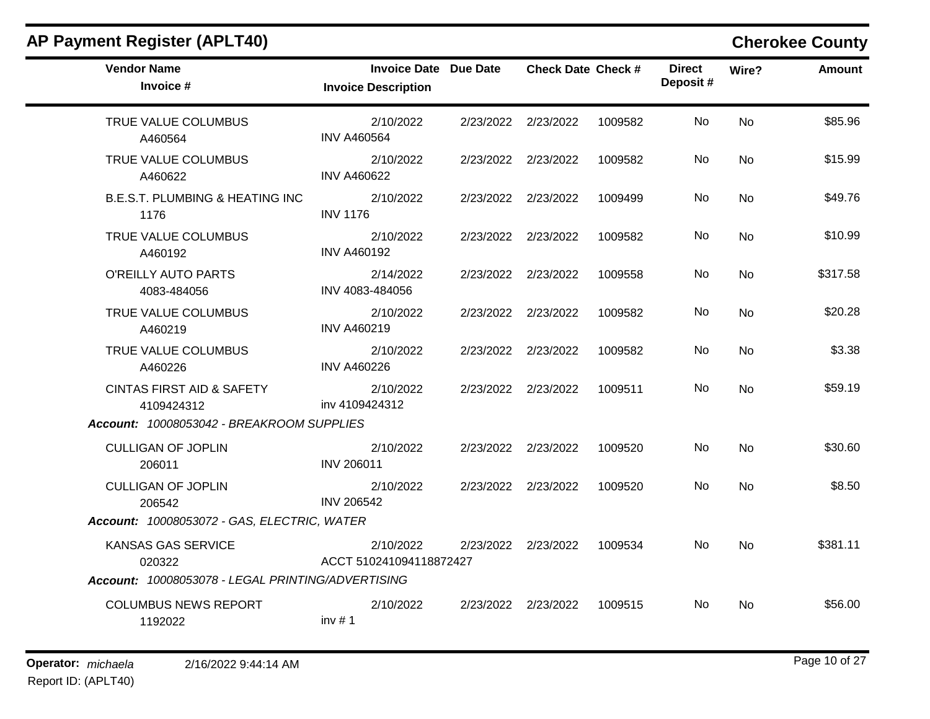| <b>Vendor Name</b><br>Invoice #                    | <b>Invoice Date Due Date</b><br><b>Invoice Description</b> |                     | <b>Check Date Check #</b> |         | <b>Direct</b><br>Deposit# | Wire?     | <b>Amount</b> |
|----------------------------------------------------|------------------------------------------------------------|---------------------|---------------------------|---------|---------------------------|-----------|---------------|
| TRUE VALUE COLUMBUS<br>A460564                     | 2/10/2022<br><b>INV A460564</b>                            |                     | 2/23/2022 2/23/2022       | 1009582 | No                        | <b>No</b> | \$85.96       |
| TRUE VALUE COLUMBUS<br>A460622                     | 2/10/2022<br><b>INV A460622</b>                            |                     | 2/23/2022 2/23/2022       | 1009582 | No.                       | No        | \$15.99       |
| <b>B.E.S.T. PLUMBING &amp; HEATING INC</b><br>1176 | 2/10/2022<br><b>INV 1176</b>                               | 2/23/2022 2/23/2022 |                           | 1009499 | No                        | <b>No</b> | \$49.76       |
| TRUE VALUE COLUMBUS<br>A460192                     | 2/10/2022<br><b>INV A460192</b>                            | 2/23/2022 2/23/2022 |                           | 1009582 | No.                       | No        | \$10.99       |
| O'REILLY AUTO PARTS<br>4083-484056                 | 2/14/2022<br>INV 4083-484056                               | 2/23/2022 2/23/2022 |                           | 1009558 | No.                       | No        | \$317.58      |
| TRUE VALUE COLUMBUS<br>A460219                     | 2/10/2022<br><b>INV A460219</b>                            | 2/23/2022 2/23/2022 |                           | 1009582 | No                        | No        | \$20.28       |
| TRUE VALUE COLUMBUS<br>A460226                     | 2/10/2022<br><b>INV A460226</b>                            |                     | 2/23/2022 2/23/2022       | 1009582 | No.                       | <b>No</b> | \$3.38        |
| <b>CINTAS FIRST AID &amp; SAFETY</b><br>4109424312 | 2/10/2022<br>inv 4109424312                                | 2/23/2022 2/23/2022 |                           | 1009511 | No                        | <b>No</b> | \$59.19       |
| Account: 10008053042 - BREAKROOM SUPPLIES          |                                                            |                     |                           |         |                           |           |               |
| <b>CULLIGAN OF JOPLIN</b><br>206011                | 2/10/2022<br><b>INV 206011</b>                             |                     | 2/23/2022 2/23/2022       | 1009520 | No                        | <b>No</b> | \$30.60       |
| <b>CULLIGAN OF JOPLIN</b><br>206542                | 2/10/2022<br><b>INV 206542</b>                             |                     | 2/23/2022 2/23/2022       | 1009520 | No.                       | <b>No</b> | \$8.50        |
| Account: 10008053072 - GAS, ELECTRIC, WATER        |                                                            |                     |                           |         |                           |           |               |
| KANSAS GAS SERVICE<br>020322                       | 2/10/2022<br>ACCT 510241094118872427                       |                     | 2/23/2022 2/23/2022       | 1009534 | No.                       | <b>No</b> | \$381.11      |
| Account: 10008053078 - LEGAL PRINTING/ADVERTISING  |                                                            |                     |                           |         |                           |           |               |
| <b>COLUMBUS NEWS REPORT</b><br>1192022             | 2/10/2022<br>inv#1                                         | 2/23/2022 2/23/2022 |                           | 1009515 | No.                       | <b>No</b> | \$56.00       |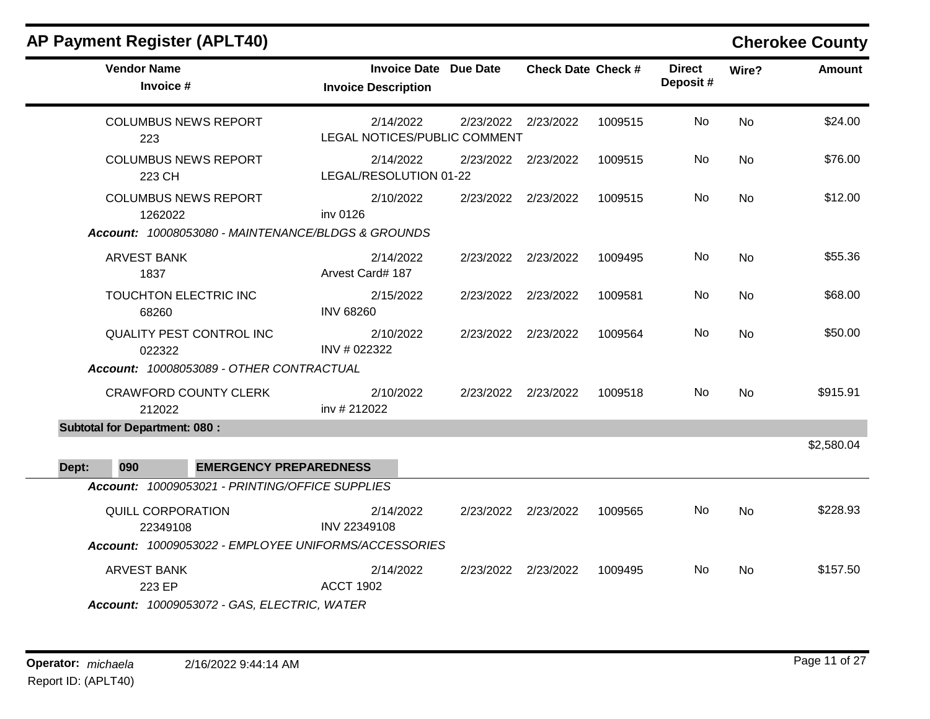| <b>Vendor Name</b><br>Invoice #                                                              | <b>Invoice Date Due Date</b><br><b>Invoice Description</b> |                     | <b>Check Date Check #</b> |         | <b>Direct</b><br>Deposit# | Wire?     | Amount     |
|----------------------------------------------------------------------------------------------|------------------------------------------------------------|---------------------|---------------------------|---------|---------------------------|-----------|------------|
| <b>COLUMBUS NEWS REPORT</b><br>223                                                           | 2/14/2022<br>LEGAL NOTICES/PUBLIC COMMENT                  | 2/23/2022 2/23/2022 |                           | 1009515 | No                        | No        | \$24.00    |
| <b>COLUMBUS NEWS REPORT</b><br>223 CH                                                        | 2/14/2022<br>LEGAL/RESOLUTION 01-22                        | 2/23/2022 2/23/2022 |                           | 1009515 | No                        | No        | \$76.00    |
| <b>COLUMBUS NEWS REPORT</b><br>1262022                                                       | 2/10/2022<br>inv 0126                                      | 2/23/2022 2/23/2022 |                           | 1009515 | No                        | <b>No</b> | \$12.00    |
| Account: 10008053080 - MAINTENANCE/BLDGS & GROUNDS                                           |                                                            |                     |                           |         |                           |           |            |
| <b>ARVEST BANK</b><br>1837                                                                   | 2/14/2022<br>Arvest Card# 187                              | 2/23/2022 2/23/2022 |                           | 1009495 | No                        | <b>No</b> | \$55.36    |
| TOUCHTON ELECTRIC INC<br>68260                                                               | 2/15/2022<br><b>INV 68260</b>                              | 2/23/2022 2/23/2022 |                           | 1009581 | No                        | No        | \$68.00    |
| <b>QUALITY PEST CONTROL INC</b><br>022322                                                    | 2/10/2022<br>INV # 022322                                  | 2/23/2022 2/23/2022 |                           | 1009564 | No.                       | No        | \$50.00    |
| Account: 10008053089 - OTHER CONTRACTUAL                                                     |                                                            |                     |                           |         |                           |           |            |
| <b>CRAWFORD COUNTY CLERK</b><br>212022                                                       | 2/10/2022<br>inv # 212022                                  | 2/23/2022 2/23/2022 |                           | 1009518 | No.                       | No        | \$915.91   |
| <b>Subtotal for Department: 080:</b>                                                         |                                                            |                     |                           |         |                           |           |            |
| 090<br><b>EMERGENCY PREPAREDNESS</b><br>Dept:                                                |                                                            |                     |                           |         |                           |           | \$2,580.04 |
| Account: 10009053021 - PRINTING/OFFICE SUPPLIES                                              |                                                            |                     |                           |         |                           |           |            |
| <b>QUILL CORPORATION</b><br>22349108<br>Account: 10009053022 - EMPLOYEE UNIFORMS/ACCESSORIES | 2/14/2022<br>INV 22349108                                  | 2/23/2022 2/23/2022 |                           | 1009565 | No                        | <b>No</b> | \$228.93   |
|                                                                                              |                                                            |                     |                           |         |                           |           |            |
| <b>ARVEST BANK</b><br>223 EP<br>Account: 10009053072 - GAS, ELECTRIC, WATER                  | 2/14/2022<br><b>ACCT 1902</b>                              | 2/23/2022 2/23/2022 |                           | 1009495 | No.                       | <b>No</b> | \$157.50   |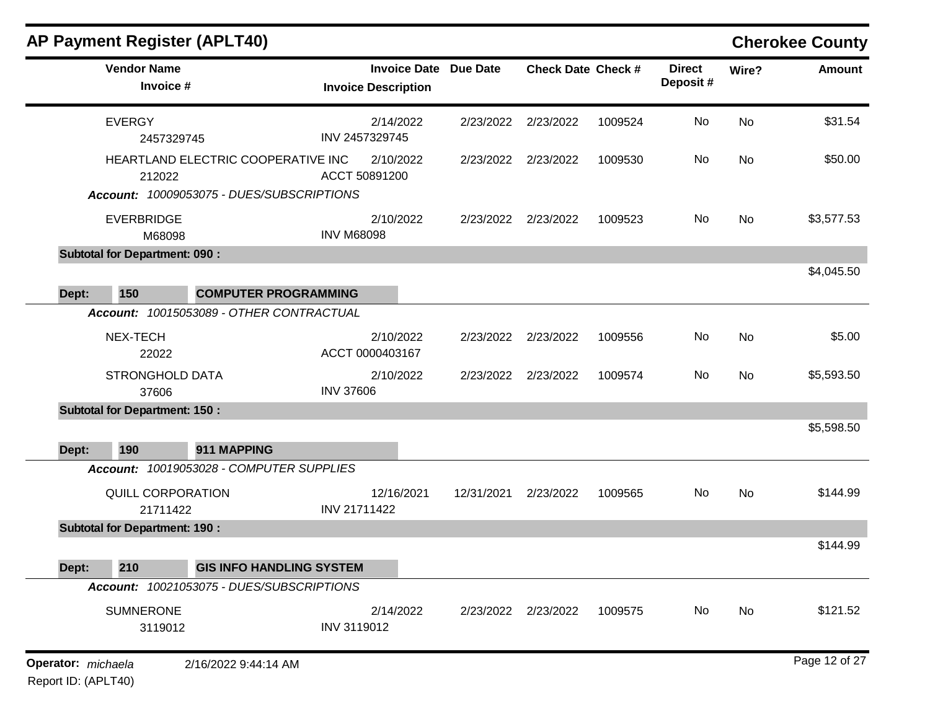|                                                 |                                |                              |                           |         |                           |           | <b>Cherokee County</b> |
|-------------------------------------------------|--------------------------------|------------------------------|---------------------------|---------|---------------------------|-----------|------------------------|
| <b>Vendor Name</b><br>Invoice #                 | <b>Invoice Description</b>     | <b>Invoice Date Due Date</b> | <b>Check Date Check #</b> |         | <b>Direct</b><br>Deposit# | Wire?     | <b>Amount</b>          |
| <b>EVERGY</b><br>2457329745                     | 2/14/2022<br>INV 2457329745    | 2/23/2022                    | 2/23/2022                 | 1009524 | No                        | <b>No</b> | \$31.54                |
| HEARTLAND ELECTRIC COOPERATIVE INC<br>212022    | 2/10/2022<br>ACCT 50891200     | 2/23/2022                    | 2/23/2022                 | 1009530 | No                        | <b>No</b> | \$50.00                |
| Account: 10009053075 - DUES/SUBSCRIPTIONS       |                                |                              |                           |         |                           |           |                        |
| <b>EVERBRIDGE</b><br>M68098                     | 2/10/2022<br><b>INV M68098</b> | 2/23/2022                    | 2/23/2022                 | 1009523 | No                        | <b>No</b> | \$3,577.53             |
| <b>Subtotal for Department: 090:</b>            |                                |                              |                           |         |                           |           |                        |
| 150<br>Dept:<br><b>COMPUTER PROGRAMMING</b>     |                                |                              |                           |         |                           |           | \$4,045.50             |
| Account: 10015053089 - OTHER CONTRACTUAL        |                                |                              |                           |         |                           |           |                        |
| NEX-TECH<br>22022                               | 2/10/2022<br>ACCT 0000403167   |                              | 2/23/2022 2/23/2022       | 1009556 | No                        | No        | \$5.00                 |
| <b>STRONGHOLD DATA</b><br>37606                 | 2/10/2022<br><b>INV 37606</b>  |                              | 2/23/2022 2/23/2022       | 1009574 | No                        | <b>No</b> | \$5,593.50             |
| <b>Subtotal for Department: 150:</b>            |                                |                              |                           |         |                           |           |                        |
|                                                 |                                |                              |                           |         |                           |           | \$5,598.50             |
| 190<br>911 MAPPING<br>Dept:                     |                                |                              |                           |         |                           |           |                        |
| Account: 10019053028 - COMPUTER SUPPLIES        |                                |                              |                           |         |                           |           |                        |
| <b>QUILL CORPORATION</b><br>21711422            | 12/16/2021<br>INV 21711422     | 12/31/2021                   | 2/23/2022                 | 1009565 | No                        | No        | \$144.99               |
| <b>Subtotal for Department: 190:</b>            |                                |                              |                           |         |                           |           |                        |
|                                                 |                                |                              |                           |         |                           |           | \$144.99               |
| 210<br><b>GIS INFO HANDLING SYSTEM</b><br>Dept: |                                |                              |                           |         |                           |           |                        |
| Account: 10021053075 - DUES/SUBSCRIPTIONS       |                                |                              |                           |         |                           |           |                        |
| <b>SUMNERONE</b><br>3119012                     | 2/14/2022<br>INV 3119012       |                              | 2/23/2022 2/23/2022       | 1009575 | No                        | No        | \$121.52               |
| Operator: michaela<br>2/16/2022 9:44:14 AM      |                                |                              |                           |         |                           |           | Page 12 of 27          |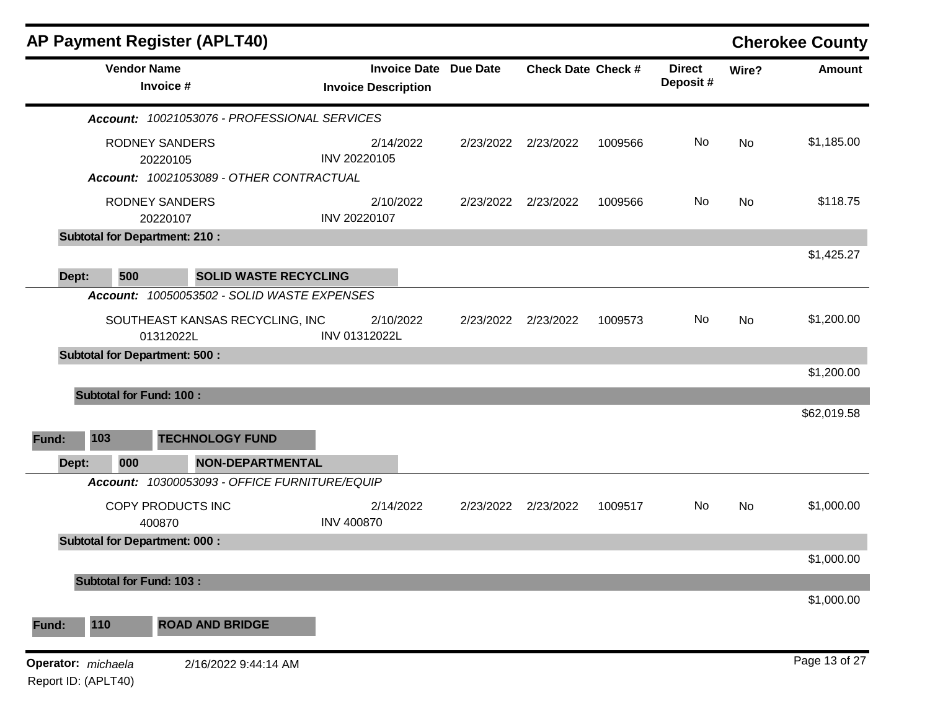|       |                                           | <b>AP Payment Register (APLT40)</b>                                           |                                                            |           |                           |         |                           |       | <b>Cherokee County</b> |
|-------|-------------------------------------------|-------------------------------------------------------------------------------|------------------------------------------------------------|-----------|---------------------------|---------|---------------------------|-------|------------------------|
|       | <b>Vendor Name</b>                        | Invoice #                                                                     | <b>Invoice Date Due Date</b><br><b>Invoice Description</b> |           | <b>Check Date Check #</b> |         | <b>Direct</b><br>Deposit# | Wire? | <b>Amount</b>          |
|       |                                           | Account: 10021053076 - PROFESSIONAL SERVICES                                  |                                                            |           |                           |         |                           |       |                        |
|       |                                           | <b>RODNEY SANDERS</b><br>20220105<br>Account: 10021053089 - OTHER CONTRACTUAL | 2/14/2022<br>INV 20220105                                  | 2/23/2022 | 2/23/2022                 | 1009566 | No                        | No    | \$1,185.00             |
|       |                                           |                                                                               |                                                            |           |                           |         |                           |       | \$118.75               |
|       | <b>RODNEY SANDERS</b><br>20220107         |                                                                               | 2/10/2022<br>INV 20220107                                  | 2/23/2022 | 2/23/2022                 | 1009566 | No                        | No    |                        |
|       |                                           | <b>Subtotal for Department: 210:</b>                                          |                                                            |           |                           |         |                           |       |                        |
|       |                                           |                                                                               |                                                            |           |                           |         |                           |       | \$1,425.27             |
| Dept: | 500                                       | <b>SOLID WASTE RECYCLING</b>                                                  |                                                            |           |                           |         |                           |       |                        |
|       |                                           | Account: 10050053502 - SOLID WASTE EXPENSES                                   |                                                            |           |                           |         |                           |       |                        |
|       |                                           | SOUTHEAST KANSAS RECYCLING, INC<br>01312022L                                  | 2/10/2022<br>INV 01312022L                                 | 2/23/2022 | 2/23/2022                 | 1009573 | No                        | No    | \$1,200.00             |
|       |                                           | <b>Subtotal for Department: 500:</b>                                          |                                                            |           |                           |         |                           |       |                        |
|       |                                           |                                                                               |                                                            |           |                           |         |                           |       | \$1,200.00             |
|       | <b>Subtotal for Fund: 100:</b>            |                                                                               |                                                            |           |                           |         |                           |       |                        |
| Fund: | 103                                       | <b>TECHNOLOGY FUND</b>                                                        |                                                            |           |                           |         |                           |       | \$62,019.58            |
| Dept: | 000                                       | NON-DEPARTMENTAL                                                              |                                                            |           |                           |         |                           |       |                        |
|       | <b>Account:</b>                           | 10300053093 - OFFICE FURNITURE/EQUIP                                          |                                                            |           |                           |         |                           |       |                        |
|       |                                           | COPY PRODUCTS INC<br>400870                                                   | 2/14/2022<br><b>INV 400870</b>                             | 2/23/2022 | 2/23/2022                 | 1009517 | No                        | No    | \$1,000.00             |
|       |                                           | <b>Subtotal for Department: 000:</b>                                          |                                                            |           |                           |         |                           |       |                        |
|       |                                           |                                                                               |                                                            |           |                           |         |                           |       | \$1,000.00             |
|       | <b>Subtotal for Fund: 103:</b>            |                                                                               |                                                            |           |                           |         |                           |       |                        |
| Fund: | 110                                       | <b>ROAD AND BRIDGE</b>                                                        |                                                            |           |                           |         |                           |       | \$1,000.00             |
|       | Operator: michaela<br>Report ID: (APLT40) | 2/16/2022 9:44:14 AM                                                          |                                                            |           |                           |         |                           |       | Page 13 of 27          |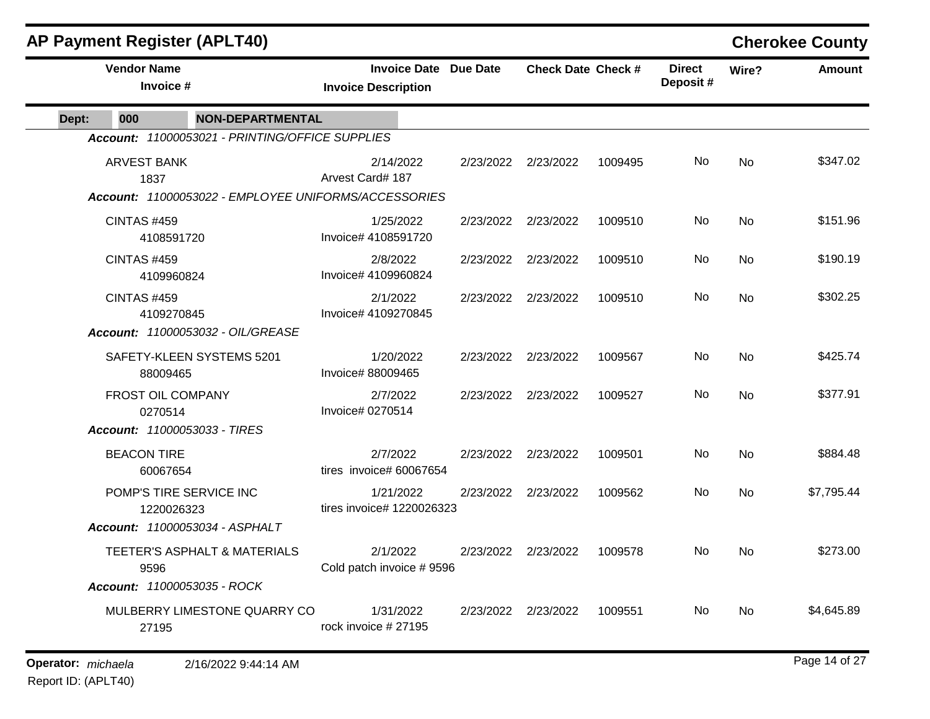| <b>AP Payment Register (APLT40)</b>                  |                                                            |           |                           |         |                           |           | <b>Cherokee County</b> |
|------------------------------------------------------|------------------------------------------------------------|-----------|---------------------------|---------|---------------------------|-----------|------------------------|
| <b>Vendor Name</b><br>Invoice #                      | <b>Invoice Date Due Date</b><br><b>Invoice Description</b> |           | <b>Check Date Check #</b> |         | <b>Direct</b><br>Deposit# | Wire?     | <b>Amount</b>          |
| 000<br><b>NON-DEPARTMENTAL</b><br>Dept:              |                                                            |           |                           |         |                           |           |                        |
| Account: 11000053021 - PRINTING/OFFICE SUPPLIES      |                                                            |           |                           |         |                           |           |                        |
| <b>ARVEST BANK</b><br>1837                           | 2/14/2022<br>Arvest Card# 187                              |           | 2/23/2022 2/23/2022       | 1009495 | No.                       | No        | \$347.02               |
| Account: 11000053022 - EMPLOYEE UNIFORMS/ACCESSORIES |                                                            |           |                           |         |                           |           |                        |
| <b>CINTAS #459</b><br>4108591720                     | 1/25/2022<br>Invoice# 4108591720                           |           | 2/23/2022 2/23/2022       | 1009510 | No                        | <b>No</b> | \$151.96               |
| <b>CINTAS #459</b><br>4109960824                     | 2/8/2022<br>Invoice# 4109960824                            |           | 2/23/2022 2/23/2022       | 1009510 | No                        | No        | \$190.19               |
| <b>CINTAS #459</b><br>4109270845                     | 2/1/2022<br>Invoice# 4109270845                            |           | 2/23/2022 2/23/2022       | 1009510 | No                        | <b>No</b> | \$302.25               |
| Account: 11000053032 - OIL/GREASE                    |                                                            |           |                           |         |                           |           |                        |
| SAFETY-KLEEN SYSTEMS 5201<br>88009465                | 1/20/2022<br>Invoice# 88009465                             |           | 2/23/2022 2/23/2022       | 1009567 | No.                       | No        | \$425.74               |
| FROST OIL COMPANY<br>0270514                         | 2/7/2022<br>Invoice# 0270514                               |           | 2/23/2022 2/23/2022       | 1009527 | No                        | <b>No</b> | \$377.91               |
| Account: 11000053033 - TIRES                         |                                                            |           |                           |         |                           |           |                        |
| <b>BEACON TIRE</b><br>60067654                       | 2/7/2022<br>tires invoice# 60067654                        |           | 2/23/2022 2/23/2022       | 1009501 | No                        | No        | \$884.48               |
| POMP'S TIRE SERVICE INC<br>1220026323                | 1/21/2022<br>tires invoice# 1220026323                     | 2/23/2022 | 2/23/2022                 | 1009562 | No                        | No        | \$7,795.44             |
| <b>Account: 11000053034 - ASPHALT</b>                |                                                            |           |                           |         |                           |           |                        |
| TEETER'S ASPHALT & MATERIALS<br>9596                 | 2/1/2022<br>Cold patch invoice #9596                       |           | 2/23/2022 2/23/2022       | 1009578 | <b>No</b>                 | <b>No</b> | \$273.00               |
| Account: 11000053035 - ROCK                          |                                                            |           |                           |         |                           |           |                        |
| MULBERRY LIMESTONE QUARRY CO<br>27195                | 1/31/2022<br>rock invoice #27195                           |           | 2/23/2022 2/23/2022       | 1009551 | No.                       | No        | \$4,645.89             |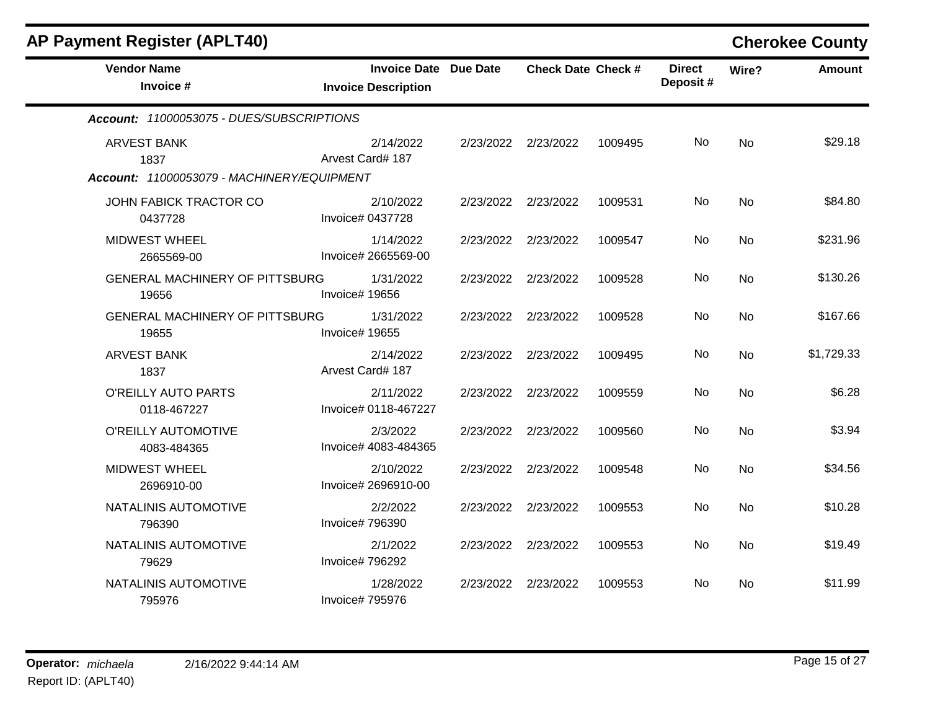| <b>AP Payment Register (APLT40)</b>            |                                                            |           |                           |         |                           |           | <b>Cherokee County</b> |
|------------------------------------------------|------------------------------------------------------------|-----------|---------------------------|---------|---------------------------|-----------|------------------------|
| <b>Vendor Name</b><br>Invoice #                | <b>Invoice Date Due Date</b><br><b>Invoice Description</b> |           | <b>Check Date Check #</b> |         | <b>Direct</b><br>Deposit# | Wire?     | <b>Amount</b>          |
| Account: 11000053075 - DUES/SUBSCRIPTIONS      |                                                            |           |                           |         |                           |           |                        |
| <b>ARVEST BANK</b><br>1837                     | 2/14/2022<br>Arvest Card# 187                              |           | 2/23/2022 2/23/2022       | 1009495 | No.                       | <b>No</b> | \$29.18                |
| Account: 11000053079 - MACHINERY/EQUIPMENT     |                                                            |           |                           |         |                           |           |                        |
| JOHN FABICK TRACTOR CO<br>0437728              | 2/10/2022<br>Invoice# 0437728                              | 2/23/2022 | 2/23/2022                 | 1009531 | No                        | <b>No</b> | \$84.80                |
| <b>MIDWEST WHEEL</b><br>2665569-00             | 1/14/2022<br>Invoice# 2665569-00                           | 2/23/2022 | 2/23/2022                 | 1009547 | No                        | <b>No</b> | \$231.96               |
| <b>GENERAL MACHINERY OF PITTSBURG</b><br>19656 | 1/31/2022<br>Invoice# 19656                                |           | 2/23/2022 2/23/2022       | 1009528 | No.                       | No        | \$130.26               |
| <b>GENERAL MACHINERY OF PITTSBURG</b><br>19655 | 1/31/2022<br>Invoice# 19655                                |           | 2/23/2022 2/23/2022       | 1009528 | No                        | <b>No</b> | \$167.66               |
| <b>ARVEST BANK</b><br>1837                     | 2/14/2022<br>Arvest Card# 187                              |           | 2/23/2022 2/23/2022       | 1009495 | No                        | No        | \$1,729.33             |
| O'REILLY AUTO PARTS<br>0118-467227             | 2/11/2022<br>Invoice# 0118-467227                          |           | 2/23/2022 2/23/2022       | 1009559 | No                        | <b>No</b> | \$6.28                 |
| O'REILLY AUTOMOTIVE<br>4083-484365             | 2/3/2022<br>Invoice# 4083-484365                           |           | 2/23/2022 2/23/2022       | 1009560 | No                        | <b>No</b> | \$3.94                 |
| <b>MIDWEST WHEEL</b><br>2696910-00             | 2/10/2022<br>Invoice# 2696910-00                           |           | 2/23/2022 2/23/2022       | 1009548 | No                        | <b>No</b> | \$34.56                |
| NATALINIS AUTOMOTIVE<br>796390                 | 2/2/2022<br>Invoice# 796390                                |           | 2/23/2022 2/23/2022       | 1009553 | No                        | <b>No</b> | \$10.28                |
| NATALINIS AUTOMOTIVE<br>79629                  | 2/1/2022<br>Invoice# 796292                                |           | 2/23/2022 2/23/2022       | 1009553 | No                        | <b>No</b> | \$19.49                |
| NATALINIS AUTOMOTIVE<br>795976                 | 1/28/2022<br>Invoice# 795976                               | 2/23/2022 | 2/23/2022                 | 1009553 | No                        | No        | \$11.99                |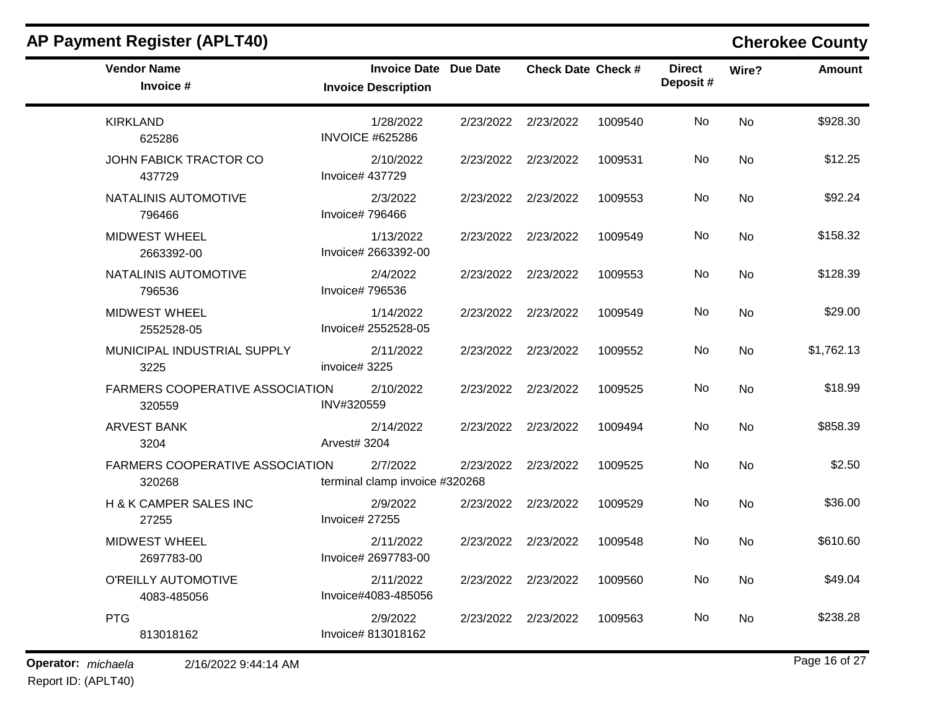| <b>Vendor Name</b><br>Invoice #                  | Invoice Date Due Date<br><b>Invoice Description</b> |                     | <b>Check Date Check #</b> |         | <b>Direct</b><br>Deposit# | Wire?     | <b>Amount</b> |
|--------------------------------------------------|-----------------------------------------------------|---------------------|---------------------------|---------|---------------------------|-----------|---------------|
| <b>KIRKLAND</b><br>625286                        | 1/28/2022<br><b>INVOICE #625286</b>                 | 2/23/2022           | 2/23/2022                 | 1009540 | No                        | <b>No</b> | \$928.30      |
| JOHN FABICK TRACTOR CO<br>437729                 | 2/10/2022<br>Invoice# 437729                        | 2/23/2022 2/23/2022 |                           | 1009531 | No                        | <b>No</b> | \$12.25       |
| NATALINIS AUTOMOTIVE<br>796466                   | 2/3/2022<br>Invoice# 796466                         | 2/23/2022 2/23/2022 |                           | 1009553 | No                        | <b>No</b> | \$92.24       |
| <b>MIDWEST WHEEL</b><br>2663392-00               | 1/13/2022<br>Invoice# 2663392-00                    | 2/23/2022 2/23/2022 |                           | 1009549 | No                        | <b>No</b> | \$158.32      |
| NATALINIS AUTOMOTIVE<br>796536                   | 2/4/2022<br>Invoice# 796536                         | 2/23/2022 2/23/2022 |                           | 1009553 | No                        | <b>No</b> | \$128.39      |
| <b>MIDWEST WHEEL</b><br>2552528-05               | 1/14/2022<br>Invoice# 2552528-05                    | 2/23/2022 2/23/2022 |                           | 1009549 | No                        | <b>No</b> | \$29.00       |
| MUNICIPAL INDUSTRIAL SUPPLY<br>3225              | 2/11/2022<br>invoice# 3225                          | 2/23/2022 2/23/2022 |                           | 1009552 | No                        | <b>No</b> | \$1,762.13    |
| FARMERS COOPERATIVE ASSOCIATION<br>320559        | 2/10/2022<br>INV#320559                             | 2/23/2022 2/23/2022 |                           | 1009525 | No                        | <b>No</b> | \$18.99       |
| <b>ARVEST BANK</b><br>3204                       | 2/14/2022<br>Arvest# 3204                           | 2/23/2022           | 2/23/2022                 | 1009494 | <b>No</b>                 | <b>No</b> | \$858.39      |
| <b>FARMERS COOPERATIVE ASSOCIATION</b><br>320268 | 2/7/2022<br>terminal clamp invoice #320268          | 2/23/2022           | 2/23/2022                 | 1009525 | No                        | <b>No</b> | \$2.50        |
| H & K CAMPER SALES INC<br>27255                  | 2/9/2022<br>Invoice# 27255                          | 2/23/2022           | 2/23/2022                 | 1009529 | No                        | <b>No</b> | \$36.00       |
| <b>MIDWEST WHEEL</b><br>2697783-00               | 2/11/2022<br>Invoice# 2697783-00                    | 2/23/2022 2/23/2022 |                           | 1009548 | No                        | <b>No</b> | \$610.60      |
| O'REILLY AUTOMOTIVE<br>4083-485056               | 2/11/2022<br>Invoice#4083-485056                    | 2/23/2022 2/23/2022 |                           | 1009560 | No                        | No        | \$49.04       |
| <b>PTG</b><br>813018162                          | 2/9/2022<br>Invoice# 813018162                      | 2/23/2022 2/23/2022 |                           | 1009563 | No                        | <b>No</b> | \$238.28      |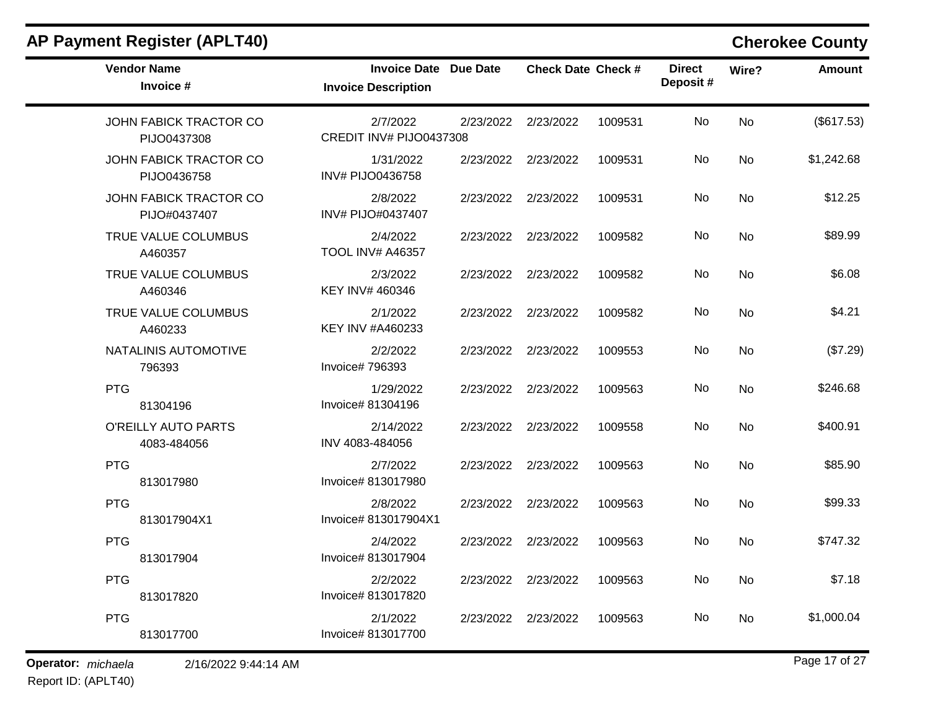| <b>AP Payment Register (APLT40)</b>    |                                                            |           |                           |         |                           |           | <b>Cherokee County</b> |
|----------------------------------------|------------------------------------------------------------|-----------|---------------------------|---------|---------------------------|-----------|------------------------|
| <b>Vendor Name</b><br>Invoice #        | <b>Invoice Date Due Date</b><br><b>Invoice Description</b> |           | <b>Check Date Check #</b> |         | <b>Direct</b><br>Deposit# | Wire?     | <b>Amount</b>          |
| JOHN FABICK TRACTOR CO<br>PIJO0437308  | 2/7/2022<br>CREDIT INV# PIJO0437308                        | 2/23/2022 | 2/23/2022                 | 1009531 | No                        | No        | (\$617.53)             |
| JOHN FABICK TRACTOR CO<br>PIJO0436758  | 1/31/2022<br>INV# PIJO0436758                              | 2/23/2022 | 2/23/2022                 | 1009531 | No                        | No        | \$1,242.68             |
| JOHN FABICK TRACTOR CO<br>PIJO#0437407 | 2/8/2022<br>INV# PIJO#0437407                              | 2/23/2022 | 2/23/2022                 | 1009531 | No                        | No        | \$12.25                |
| TRUE VALUE COLUMBUS<br>A460357         | 2/4/2022<br><b>TOOL INV# A46357</b>                        | 2/23/2022 | 2/23/2022                 | 1009582 | No                        | <b>No</b> | \$89.99                |
| TRUE VALUE COLUMBUS<br>A460346         | 2/3/2022<br>KEY INV# 460346                                | 2/23/2022 | 2/23/2022                 | 1009582 | No                        | No        | \$6.08                 |
| TRUE VALUE COLUMBUS<br>A460233         | 2/1/2022<br>KEY INV #A460233                               | 2/23/2022 | 2/23/2022                 | 1009582 | No                        | No        | \$4.21                 |
| NATALINIS AUTOMOTIVE<br>796393         | 2/2/2022<br>Invoice# 796393                                | 2/23/2022 | 2/23/2022                 | 1009553 | No                        | No        | (\$7.29)               |
| <b>PTG</b><br>81304196                 | 1/29/2022<br>Invoice# 81304196                             | 2/23/2022 | 2/23/2022                 | 1009563 | No                        | No        | \$246.68               |
| O'REILLY AUTO PARTS<br>4083-484056     | 2/14/2022<br>INV 4083-484056                               | 2/23/2022 | 2/23/2022                 | 1009558 | No                        | No        | \$400.91               |
| <b>PTG</b><br>813017980                | 2/7/2022<br>Invoice# 813017980                             | 2/23/2022 | 2/23/2022                 | 1009563 | No                        | No        | \$85.90                |
| <b>PTG</b><br>813017904X1              | 2/8/2022<br>Invoice# 813017904X1                           | 2/23/2022 | 2/23/2022                 | 1009563 | No                        | No        | \$99.33                |
| <b>PTG</b><br>813017904                | 2/4/2022<br>Invoice# 813017904                             | 2/23/2022 | 2/23/2022                 | 1009563 | No                        | No        | \$747.32               |
| <b>PTG</b><br>813017820                | 2/2/2022<br>Invoice# 813017820                             |           | 2/23/2022 2/23/2022       | 1009563 | No                        | No        | \$7.18                 |
| <b>PTG</b><br>813017700                | 2/1/2022<br>Invoice# 813017700                             |           | 2/23/2022 2/23/2022       | 1009563 | No                        | No        | \$1,000.04             |

**Operator:** *michaela* 2/16/2022 9:44:14 AM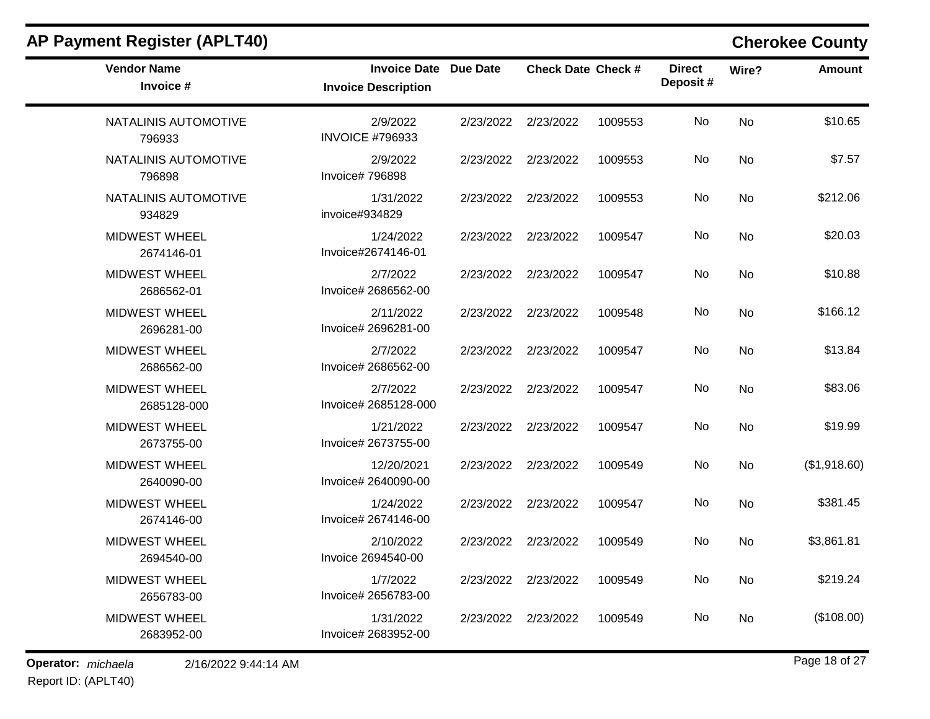| <b>Vendor Name</b><br>Invoice #     | <b>Invoice Date Due Date</b><br><b>Invoice Description</b> |           | <b>Check Date Check #</b> |         | <b>Direct</b><br>Deposit# | Wire?     | <b>Amount</b> |
|-------------------------------------|------------------------------------------------------------|-----------|---------------------------|---------|---------------------------|-----------|---------------|
| NATALINIS AUTOMOTIVE<br>796933      | 2/9/2022<br><b>INVOICE #796933</b>                         | 2/23/2022 | 2/23/2022                 | 1009553 | No                        | <b>No</b> | \$10.65       |
| NATALINIS AUTOMOTIVE<br>796898      | 2/9/2022<br><b>Invoice#796898</b>                          | 2/23/2022 | 2/23/2022                 | 1009553 | No                        | <b>No</b> | \$7.57        |
| NATALINIS AUTOMOTIVE<br>934829      | 1/31/2022<br>invoice#934829                                | 2/23/2022 | 2/23/2022                 | 1009553 | No                        | <b>No</b> | \$212.06      |
| <b>MIDWEST WHEEL</b><br>2674146-01  | 1/24/2022<br>Invoice#2674146-01                            | 2/23/2022 | 2/23/2022                 | 1009547 | No                        | No        | \$20.03       |
| <b>MIDWEST WHEEL</b><br>2686562-01  | 2/7/2022<br>Invoice# 2686562-00                            | 2/23/2022 | 2/23/2022                 | 1009547 | No                        | No        | \$10.88       |
| <b>MIDWEST WHEEL</b><br>2696281-00  | 2/11/2022<br>Invoice# 2696281-00                           | 2/23/2022 | 2/23/2022                 | 1009548 | No                        | No        | \$166.12      |
| <b>MIDWEST WHEEL</b><br>2686562-00  | 2/7/2022<br>Invoice# 2686562-00                            | 2/23/2022 | 2/23/2022                 | 1009547 | No                        | No        | \$13.84       |
| <b>MIDWEST WHEEL</b><br>2685128-000 | 2/7/2022<br>Invoice# 2685128-000                           | 2/23/2022 | 2/23/2022                 | 1009547 | No                        | No        | \$83.06       |
| <b>MIDWEST WHEEL</b><br>2673755-00  | 1/21/2022<br>Invoice# 2673755-00                           | 2/23/2022 | 2/23/2022                 | 1009547 | No                        | <b>No</b> | \$19.99       |
| MIDWEST WHEEL<br>2640090-00         | 12/20/2021<br>Invoice# 2640090-00                          | 2/23/2022 | 2/23/2022                 | 1009549 | No                        | <b>No</b> | (\$1,918.60)  |
| <b>MIDWEST WHEEL</b><br>2674146-00  | 1/24/2022<br>Invoice# 2674146-00                           | 2/23/2022 | 2/23/2022                 | 1009547 | No                        | <b>No</b> | \$381.45      |
| <b>MIDWEST WHEEL</b><br>2694540-00  | 2/10/2022<br>Invoice 2694540-00                            | 2/23/2022 | 2/23/2022                 | 1009549 | No.                       | No        | \$3,861.81    |
| <b>MIDWEST WHEEL</b><br>2656783-00  | 1/7/2022<br>Invoice# 2656783-00                            | 2/23/2022 | 2/23/2022                 | 1009549 | No                        | No        | \$219.24      |
| <b>MIDWEST WHEEL</b><br>2683952-00  | 1/31/2022<br>Invoice# 2683952-00                           | 2/23/2022 | 2/23/2022                 | 1009549 | No.                       | No        | (\$108.00)    |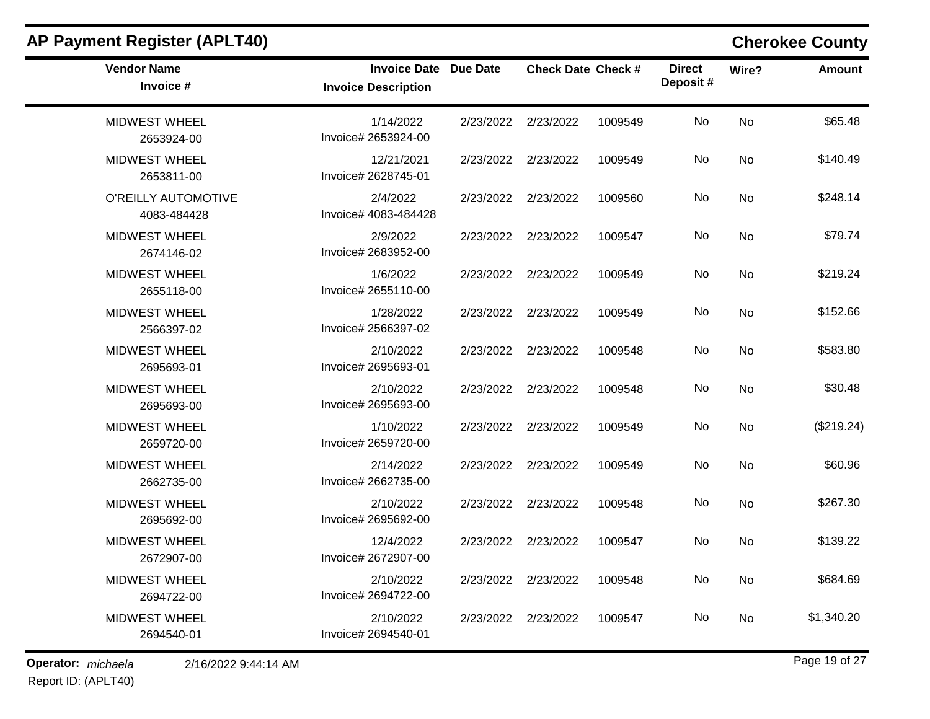| <b>AP Payment Register (APLT40)</b> |                                                            |           |                           |         |                            |           | <b>Cherokee County</b> |
|-------------------------------------|------------------------------------------------------------|-----------|---------------------------|---------|----------------------------|-----------|------------------------|
| <b>Vendor Name</b><br>Invoice #     | <b>Invoice Date Due Date</b><br><b>Invoice Description</b> |           | <b>Check Date Check #</b> |         | <b>Direct</b><br>Deposit # | Wire?     | Amount                 |
| MIDWEST WHEEL<br>2653924-00         | 1/14/2022<br>Invoice# 2653924-00                           |           | 2/23/2022 2/23/2022       | 1009549 | No                         | No        | \$65.48                |
| <b>MIDWEST WHEEL</b><br>2653811-00  | 12/21/2021<br>Invoice# 2628745-01                          |           | 2/23/2022 2/23/2022       | 1009549 | No.                        | No        | \$140.49               |
| O'REILLY AUTOMOTIVE<br>4083-484428  | 2/4/2022<br>Invoice# 4083-484428                           |           | 2/23/2022 2/23/2022       | 1009560 | No                         | <b>No</b> | \$248.14               |
| <b>MIDWEST WHEEL</b><br>2674146-02  | 2/9/2022<br>Invoice# 2683952-00                            | 2/23/2022 | 2/23/2022                 | 1009547 | No                         | <b>No</b> | \$79.74                |
| <b>MIDWEST WHEEL</b><br>2655118-00  | 1/6/2022<br>Invoice# 2655110-00                            |           | 2/23/2022 2/23/2022       | 1009549 | No.                        | No        | \$219.24               |
| <b>MIDWEST WHEEL</b><br>2566397-02  | 1/28/2022<br>Invoice# 2566397-02                           |           | 2/23/2022 2/23/2022       | 1009549 | No                         | <b>No</b> | \$152.66               |
| MIDWEST WHEEL<br>2695693-01         | 2/10/2022<br>Invoice# 2695693-01                           | 2/23/2022 | 2/23/2022                 | 1009548 | No                         | <b>No</b> | \$583.80               |
| <b>MIDWEST WHEEL</b><br>2695693-00  | 2/10/2022<br>Invoice# 2695693-00                           |           | 2/23/2022 2/23/2022       | 1009548 | No.                        | <b>No</b> | \$30.48                |
| <b>MIDWEST WHEEL</b><br>2659720-00  | 1/10/2022<br>Invoice# 2659720-00                           |           | 2/23/2022 2/23/2022       | 1009549 | No                         | <b>No</b> | (\$219.24)             |
| <b>MIDWEST WHEEL</b><br>2662735-00  | 2/14/2022<br>Invoice# 2662735-00                           | 2/23/2022 | 2/23/2022                 | 1009549 | No                         | <b>No</b> | \$60.96                |
| <b>MIDWEST WHEEL</b><br>2695692-00  | 2/10/2022<br>Invoice# 2695692-00                           |           | 2/23/2022 2/23/2022       | 1009548 | No.                        | No        | \$267.30               |
| <b>MIDWEST WHEEL</b><br>2672907-00  | 12/4/2022<br>Invoice# 2672907-00                           |           | 2/23/2022 2/23/2022       | 1009547 | No                         | <b>No</b> | \$139.22               |
| <b>MIDWEST WHEEL</b><br>2694722-00  | 2/10/2022<br>Invoice# 2694722-00                           |           | 2/23/2022 2/23/2022       | 1009548 | No.                        | No        | \$684.69               |
| <b>MIDWEST WHEEL</b><br>2694540-01  | 2/10/2022<br>Invoice# 2694540-01                           |           | 2/23/2022 2/23/2022       | 1009547 | No                         | No        | \$1,340.20             |

**Operator:** *michaela* 2/16/2022 9:44:14 AM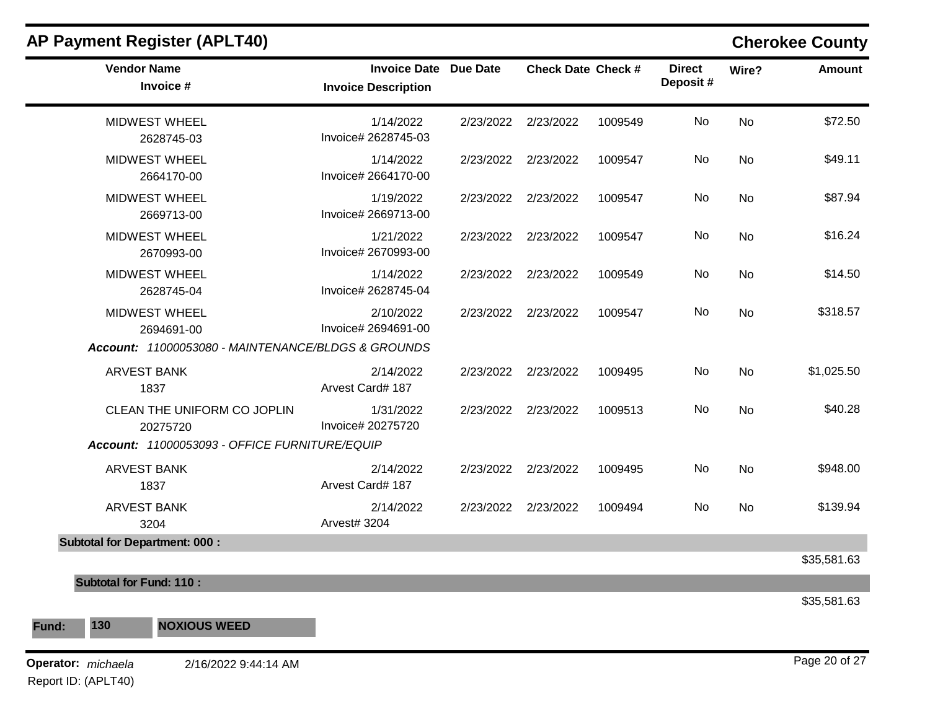| <b>Vendor Name</b><br>Invoice #                                                          | Invoice Date Due Date<br><b>Invoice Description</b> | <b>Check Date Check #</b> |         | <b>Direct</b><br>Deposit# | Wire?     | <b>Amount</b> |
|------------------------------------------------------------------------------------------|-----------------------------------------------------|---------------------------|---------|---------------------------|-----------|---------------|
| MIDWEST WHEEL<br>2628745-03                                                              | 1/14/2022<br>Invoice# 2628745-03                    | 2/23/2022 2/23/2022       | 1009549 | No                        | No        | \$72.50       |
| <b>MIDWEST WHEEL</b><br>2664170-00                                                       | 1/14/2022<br>Invoice# 2664170-00                    | 2/23/2022 2/23/2022       | 1009547 | No                        | <b>No</b> | \$49.11       |
| <b>MIDWEST WHEEL</b><br>2669713-00                                                       | 1/19/2022<br>Invoice# 2669713-00                    | 2/23/2022 2/23/2022       | 1009547 | No                        | <b>No</b> | \$87.94       |
| <b>MIDWEST WHEEL</b><br>2670993-00                                                       | 1/21/2022<br>Invoice# 2670993-00                    | 2/23/2022 2/23/2022       | 1009547 | No                        | <b>No</b> | \$16.24       |
| <b>MIDWEST WHEEL</b><br>2628745-04                                                       | 1/14/2022<br>Invoice# 2628745-04                    | 2/23/2022 2/23/2022       | 1009549 | No                        | <b>No</b> | \$14.50       |
| <b>MIDWEST WHEEL</b><br>2694691-00<br>Account: 11000053080 - MAINTENANCE/BLDGS & GROUNDS | 2/10/2022<br>Invoice# 2694691-00                    | 2/23/2022 2/23/2022       | 1009547 | No                        | <b>No</b> | \$318.57      |
| <b>ARVEST BANK</b><br>1837                                                               | 2/14/2022<br>Arvest Card# 187                       | 2/23/2022 2/23/2022       | 1009495 | No                        | <b>No</b> | \$1,025.50    |
| CLEAN THE UNIFORM CO JOPLIN<br>20275720                                                  | 1/31/2022<br>Invoice# 20275720                      | 2/23/2022 2/23/2022       | 1009513 | No                        | <b>No</b> | \$40.28       |
| Account: 11000053093 - OFFICE FURNITURE/EQUIP                                            |                                                     |                           |         |                           |           |               |
| <b>ARVEST BANK</b><br>1837                                                               | 2/14/2022<br>Arvest Card# 187                       | 2/23/2022 2/23/2022       | 1009495 | No                        | <b>No</b> | \$948.00      |
| <b>ARVEST BANK</b><br>3204                                                               | 2/14/2022<br>Arvest# 3204                           | 2/23/2022 2/23/2022       | 1009494 | No                        | <b>No</b> | \$139.94      |
| <b>Subtotal for Department: 000:</b>                                                     |                                                     |                           |         |                           |           |               |
|                                                                                          |                                                     |                           |         |                           |           | \$35,581.63   |
| <b>Subtotal for Fund: 110:</b>                                                           |                                                     |                           |         |                           |           |               |
| 130<br><b>NOXIOUS WEED</b><br>Fund:                                                      |                                                     |                           |         |                           |           | \$35,581.63   |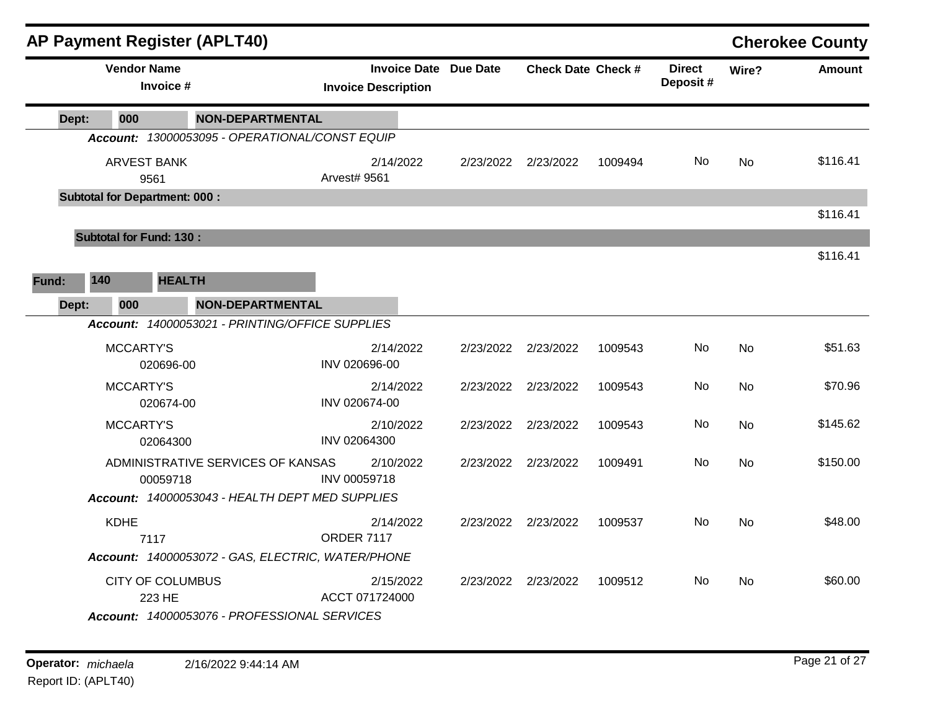|       | <b>AP Payment Register (APLT40)</b>  |                                                   |                                                            |                           |         |                            |           | <b>Cherokee County</b> |
|-------|--------------------------------------|---------------------------------------------------|------------------------------------------------------------|---------------------------|---------|----------------------------|-----------|------------------------|
|       | <b>Vendor Name</b><br>Invoice #      |                                                   | <b>Invoice Date Due Date</b><br><b>Invoice Description</b> | <b>Check Date Check #</b> |         | <b>Direct</b><br>Deposit # | Wire?     | <b>Amount</b>          |
| Dept: | 000                                  | <b>NON-DEPARTMENTAL</b>                           |                                                            |                           |         |                            |           |                        |
|       |                                      | Account: 13000053095 - OPERATIONAL/CONST EQUIP    |                                                            |                           |         |                            |           |                        |
|       | <b>ARVEST BANK</b><br>9561           |                                                   | 2/14/2022<br>Arvest# 9561                                  | 2/23/2022 2/23/2022       | 1009494 | No                         | No        | \$116.41               |
|       | <b>Subtotal for Department: 000:</b> |                                                   |                                                            |                           |         |                            |           |                        |
|       |                                      |                                                   |                                                            |                           |         |                            |           | \$116.41               |
|       | <b>Subtotal for Fund: 130:</b>       |                                                   |                                                            |                           |         |                            |           |                        |
|       |                                      |                                                   |                                                            |                           |         |                            |           | \$116.41               |
| Fund: | 140                                  | <b>HEALTH</b>                                     |                                                            |                           |         |                            |           |                        |
| Dept: | 000                                  | <b>NON-DEPARTMENTAL</b>                           |                                                            |                           |         |                            |           |                        |
|       |                                      | Account: 14000053021 - PRINTING/OFFICE SUPPLIES   |                                                            |                           |         |                            |           |                        |
|       | MCCARTY'S<br>020696-00               |                                                   | 2/14/2022<br>INV 020696-00                                 | 2/23/2022 2/23/2022       | 1009543 | No                         | <b>No</b> | \$51.63                |
|       | <b>MCCARTY'S</b><br>020674-00        |                                                   | 2/14/2022<br>INV 020674-00                                 | 2/23/2022 2/23/2022       | 1009543 | No                         | <b>No</b> | \$70.96                |
|       | <b>MCCARTY'S</b><br>02064300         |                                                   | 2/10/2022<br>INV 02064300                                  | 2/23/2022 2/23/2022       | 1009543 | No                         | No        | \$145.62               |
|       | 00059718                             | ADMINISTRATIVE SERVICES OF KANSAS                 | 2/10/2022<br>INV 00059718                                  | 2/23/2022 2/23/2022       | 1009491 | No                         | <b>No</b> | \$150.00               |
|       |                                      | Account: 14000053043 - HEALTH DEPT MED SUPPLIES   |                                                            |                           |         |                            |           |                        |
|       | <b>KDHE</b><br>7117                  |                                                   | 2/14/2022<br><b>ORDER 7117</b>                             | 2/23/2022 2/23/2022       | 1009537 | No                         | <b>No</b> | \$48.00                |
|       |                                      | Account: 14000053072 - GAS, ELECTRIC, WATER/PHONE |                                                            |                           |         |                            |           |                        |
|       | <b>CITY OF COLUMBUS</b><br>223 HE    |                                                   | 2/15/2022<br>ACCT 071724000                                | 2/23/2022 2/23/2022       | 1009512 | No                         | No        | \$60.00                |
|       |                                      | Account: 14000053076 - PROFESSIONAL SERVICES      |                                                            |                           |         |                            |           |                        |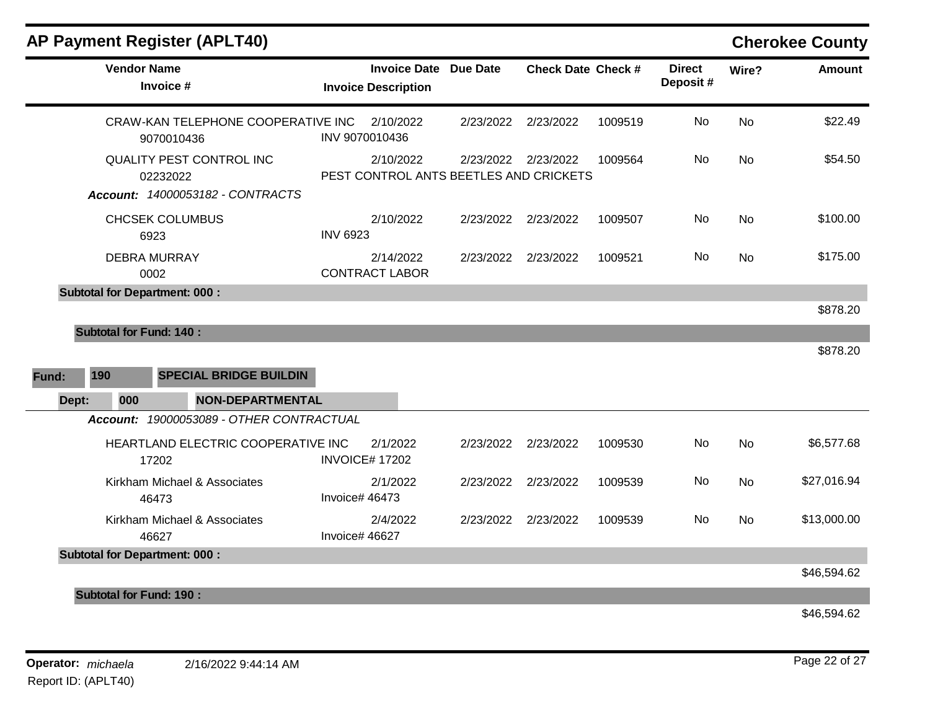| <b>Vendor Name</b><br><b>Invoice Date Due Date</b><br><b>Check Date Check #</b><br><b>Direct</b><br>Wire?<br>Deposit#<br>Invoice #<br><b>Invoice Description</b><br>CRAW-KAN TELEPHONE COOPERATIVE INC<br>No<br>2/10/2022<br>2/23/2022<br>2/23/2022<br>1009519<br><b>No</b><br>INV 9070010436<br>9070010436<br>No<br>QUALITY PEST CONTROL INC<br>2/10/2022<br>2/23/2022<br>2/23/2022<br>1009564<br><b>No</b><br>PEST CONTROL ANTS BEETLES AND CRICKETS<br>02232022<br>Account: 14000053182 - CONTRACTS<br>CHCSEK COLUMBUS<br>2/10/2022<br>No.<br><b>No</b><br>2/23/2022<br>2/23/2022<br>1009507<br><b>INV 6923</b><br>6923<br><b>DEBRA MURRAY</b><br>2/14/2022<br>2/23/2022<br>1009521<br>No<br>2/23/2022<br>No<br><b>CONTRACT LABOR</b><br>0002<br><b>Subtotal for Department: 000:</b><br><b>Subtotal for Fund: 140:</b><br>190<br><b>SPECIAL BRIDGE BUILDIN</b><br>Dept:<br>000<br><b>NON-DEPARTMENTAL</b><br>Account: 19000053089 - OTHER CONTRACTUAL<br>No<br>HEARTLAND ELECTRIC COOPERATIVE INC<br>2/1/2022<br>2/23/2022<br>2/23/2022<br><b>No</b><br>1009530<br><b>INVOICE# 17202</b><br>17202<br>Kirkham Michael & Associates<br>2/1/2022<br>No.<br>2/23/2022<br>2/23/2022<br>1009539<br>No<br>Invoice# 46473<br>46473<br><b>No</b><br>Kirkham Michael & Associates<br>2/4/2022<br>2/23/2022<br>2/23/2022<br><b>No</b><br>1009539<br>Invoice# 46627<br>46627<br><b>Subtotal for Department: 000:</b><br><b>Subtotal for Fund: 190:</b> |  | <b>AP Payment Register (APLT40)</b> |  |  |  | <b>Cherokee County</b> |
|------------------------------------------------------------------------------------------------------------------------------------------------------------------------------------------------------------------------------------------------------------------------------------------------------------------------------------------------------------------------------------------------------------------------------------------------------------------------------------------------------------------------------------------------------------------------------------------------------------------------------------------------------------------------------------------------------------------------------------------------------------------------------------------------------------------------------------------------------------------------------------------------------------------------------------------------------------------------------------------------------------------------------------------------------------------------------------------------------------------------------------------------------------------------------------------------------------------------------------------------------------------------------------------------------------------------------------------------------------------------------------------------------------------------------------------------|--|-------------------------------------|--|--|--|------------------------|
|                                                                                                                                                                                                                                                                                                                                                                                                                                                                                                                                                                                                                                                                                                                                                                                                                                                                                                                                                                                                                                                                                                                                                                                                                                                                                                                                                                                                                                                |  |                                     |  |  |  | <b>Amount</b>          |
|                                                                                                                                                                                                                                                                                                                                                                                                                                                                                                                                                                                                                                                                                                                                                                                                                                                                                                                                                                                                                                                                                                                                                                                                                                                                                                                                                                                                                                                |  |                                     |  |  |  | \$22.49                |
|                                                                                                                                                                                                                                                                                                                                                                                                                                                                                                                                                                                                                                                                                                                                                                                                                                                                                                                                                                                                                                                                                                                                                                                                                                                                                                                                                                                                                                                |  |                                     |  |  |  | \$54.50                |
|                                                                                                                                                                                                                                                                                                                                                                                                                                                                                                                                                                                                                                                                                                                                                                                                                                                                                                                                                                                                                                                                                                                                                                                                                                                                                                                                                                                                                                                |  |                                     |  |  |  | \$100.00               |
| Fund:                                                                                                                                                                                                                                                                                                                                                                                                                                                                                                                                                                                                                                                                                                                                                                                                                                                                                                                                                                                                                                                                                                                                                                                                                                                                                                                                                                                                                                          |  |                                     |  |  |  | \$175.00               |
|                                                                                                                                                                                                                                                                                                                                                                                                                                                                                                                                                                                                                                                                                                                                                                                                                                                                                                                                                                                                                                                                                                                                                                                                                                                                                                                                                                                                                                                |  |                                     |  |  |  | \$878.20               |
|                                                                                                                                                                                                                                                                                                                                                                                                                                                                                                                                                                                                                                                                                                                                                                                                                                                                                                                                                                                                                                                                                                                                                                                                                                                                                                                                                                                                                                                |  |                                     |  |  |  | \$878.20               |
|                                                                                                                                                                                                                                                                                                                                                                                                                                                                                                                                                                                                                                                                                                                                                                                                                                                                                                                                                                                                                                                                                                                                                                                                                                                                                                                                                                                                                                                |  |                                     |  |  |  |                        |
|                                                                                                                                                                                                                                                                                                                                                                                                                                                                                                                                                                                                                                                                                                                                                                                                                                                                                                                                                                                                                                                                                                                                                                                                                                                                                                                                                                                                                                                |  |                                     |  |  |  |                        |
|                                                                                                                                                                                                                                                                                                                                                                                                                                                                                                                                                                                                                                                                                                                                                                                                                                                                                                                                                                                                                                                                                                                                                                                                                                                                                                                                                                                                                                                |  |                                     |  |  |  | \$6,577.68             |
|                                                                                                                                                                                                                                                                                                                                                                                                                                                                                                                                                                                                                                                                                                                                                                                                                                                                                                                                                                                                                                                                                                                                                                                                                                                                                                                                                                                                                                                |  |                                     |  |  |  | \$27,016.94            |
|                                                                                                                                                                                                                                                                                                                                                                                                                                                                                                                                                                                                                                                                                                                                                                                                                                                                                                                                                                                                                                                                                                                                                                                                                                                                                                                                                                                                                                                |  |                                     |  |  |  | \$13,000.00            |
|                                                                                                                                                                                                                                                                                                                                                                                                                                                                                                                                                                                                                                                                                                                                                                                                                                                                                                                                                                                                                                                                                                                                                                                                                                                                                                                                                                                                                                                |  |                                     |  |  |  | \$46,594.62            |
|                                                                                                                                                                                                                                                                                                                                                                                                                                                                                                                                                                                                                                                                                                                                                                                                                                                                                                                                                                                                                                                                                                                                                                                                                                                                                                                                                                                                                                                |  |                                     |  |  |  | \$46,594.62            |

**Operator:** *michaela* 2/16/2022 9:44:14 AM Report ID: (APLT40)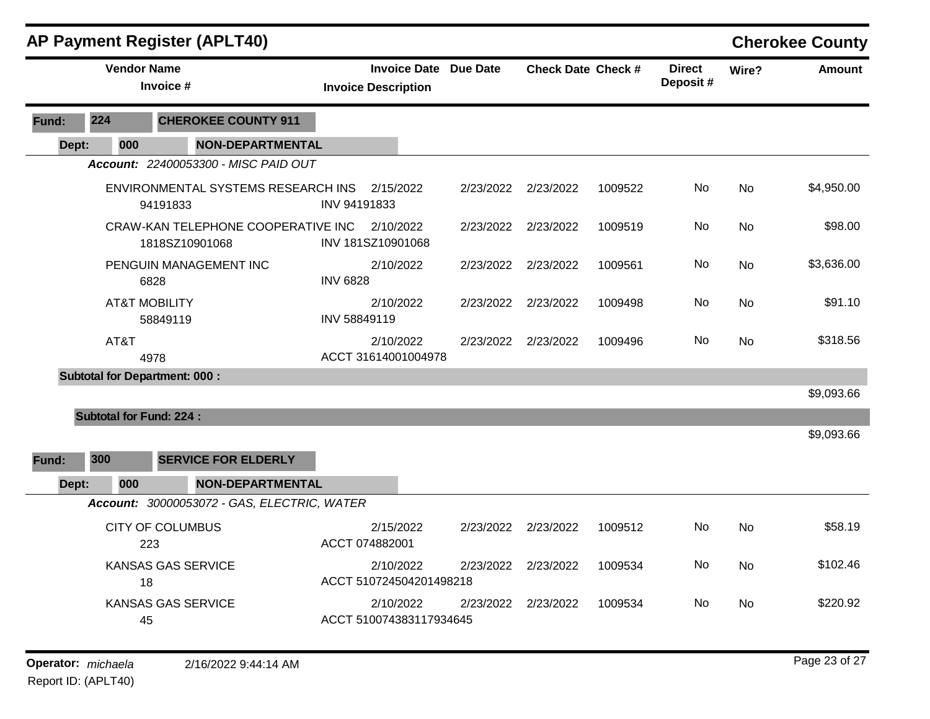|       |                                | <b>AP Payment Register (APLT40)</b>                  |                                                            |           |                     |                           |                           |           | <b>Cherokee County</b> |
|-------|--------------------------------|------------------------------------------------------|------------------------------------------------------------|-----------|---------------------|---------------------------|---------------------------|-----------|------------------------|
|       | <b>Vendor Name</b>             | Invoice #                                            | <b>Invoice Date Due Date</b><br><b>Invoice Description</b> |           |                     | <b>Check Date Check #</b> | <b>Direct</b><br>Deposit# | Wire?     | <b>Amount</b>          |
| Fund: | 224                            | <b>CHEROKEE COUNTY 911</b>                           |                                                            |           |                     |                           |                           |           |                        |
| Dept: | 000                            | <b>NON-DEPARTMENTAL</b>                              |                                                            |           |                     |                           |                           |           |                        |
|       |                                | Account: 22400053300 - MISC PAID OUT                 |                                                            |           |                     |                           |                           |           |                        |
|       |                                | ENVIRONMENTAL SYSTEMS RESEARCH INS<br>94191833       | 2/15/2022<br>INV 94191833                                  |           | 2/23/2022 2/23/2022 | 1009522                   | No                        | No        | \$4,950.00             |
|       |                                | CRAW-KAN TELEPHONE COOPERATIVE INC<br>1818SZ10901068 | 2/10/2022<br>INV 181SZ10901068                             |           | 2/23/2022 2/23/2022 | 1009519                   | No                        | No        | \$98.00                |
|       |                                | PENGUIN MANAGEMENT INC<br>6828                       | 2/10/2022<br><b>INV 6828</b>                               | 2/23/2022 | 2/23/2022           | 1009561                   | No                        | No        | \$3,636.00             |
|       | <b>AT&amp;T MOBILITY</b>       | 58849119                                             | 2/10/2022<br>INV 58849119                                  |           | 2/23/2022 2/23/2022 | 1009498                   | No                        | No        | \$91.10                |
|       | AT&T                           | 4978                                                 | 2/10/2022<br>ACCT 31614001004978                           |           | 2/23/2022 2/23/2022 | 1009496                   | No.                       | <b>No</b> | \$318.56               |
|       |                                | <b>Subtotal for Department: 000:</b>                 |                                                            |           |                     |                           |                           |           |                        |
|       | <b>Subtotal for Fund: 224:</b> |                                                      |                                                            |           |                     |                           |                           |           | \$9,093.66             |
|       |                                |                                                      |                                                            |           |                     |                           |                           |           | \$9,093.66             |
| Fund: | 300                            | <b>SERVICE FOR ELDERLY</b>                           |                                                            |           |                     |                           |                           |           |                        |
| Dept: | 000                            | <b>NON-DEPARTMENTAL</b>                              |                                                            |           |                     |                           |                           |           |                        |
|       |                                | Account: 30000053072 - GAS, ELECTRIC, WATER          |                                                            |           |                     |                           |                           |           |                        |
|       |                                | <b>CITY OF COLUMBUS</b><br>223                       | 2/15/2022<br>ACCT 074882001                                |           | 2/23/2022 2/23/2022 | 1009512                   | No                        | No        | \$58.19                |
|       | 18                             | KANSAS GAS SERVICE                                   | 2/10/2022<br>ACCT 510724504201498218                       |           | 2/23/2022 2/23/2022 | 1009534                   | No                        | No.       | \$102.46               |
|       | 45                             | KANSAS GAS SERVICE                                   | 2/10/2022<br>ACCT 510074383117934645                       |           | 2/23/2022 2/23/2022 | 1009534                   | No                        | No        | \$220.92               |
|       |                                |                                                      |                                                            |           |                     |                           |                           |           |                        |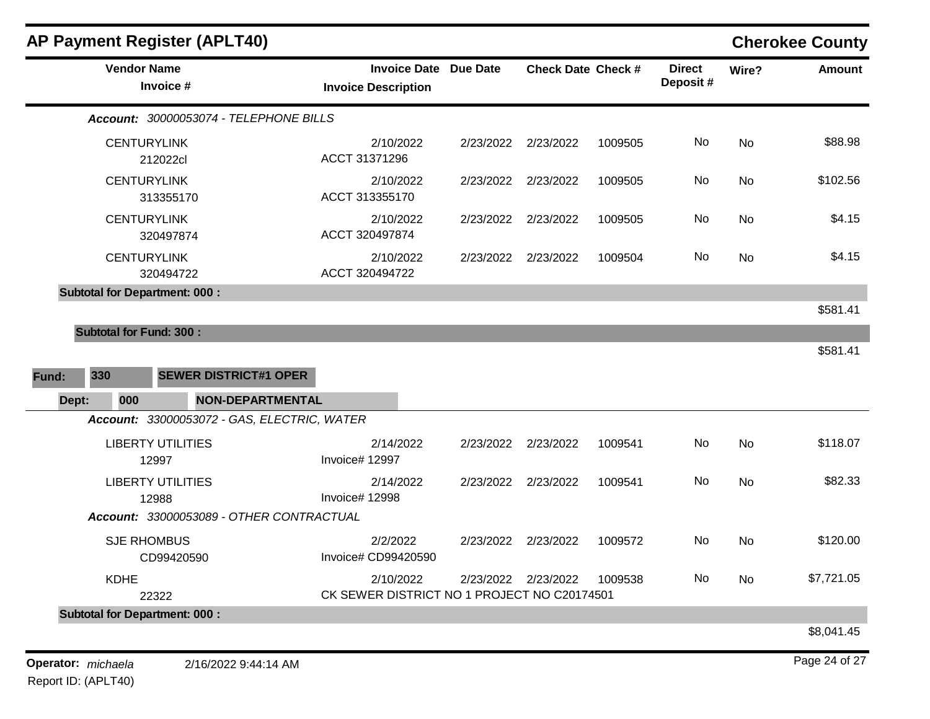|                                      | <b>AP Payment Register (APLT40)</b>         |                                                          |           |                           |         |                            |       | <b>Cherokee County</b> |
|--------------------------------------|---------------------------------------------|----------------------------------------------------------|-----------|---------------------------|---------|----------------------------|-------|------------------------|
|                                      | <b>Vendor Name</b><br>Invoice #             | <b>Invoice Date</b><br><b>Invoice Description</b>        | Due Date  | <b>Check Date Check #</b> |         | <b>Direct</b><br>Deposit # | Wire? | <b>Amount</b>          |
|                                      | Account: 30000053074 - TELEPHONE BILLS      |                                                          |           |                           |         |                            |       |                        |
|                                      | <b>CENTURYLINK</b><br>212022cl              | 2/10/2022<br>ACCT 31371296                               | 2/23/2022 | 2/23/2022                 | 1009505 | No                         | No    | \$88.98                |
|                                      | <b>CENTURYLINK</b><br>313355170             | 2/10/2022<br>ACCT 313355170                              | 2/23/2022 | 2/23/2022                 | 1009505 | No                         | No    | \$102.56               |
|                                      | <b>CENTURYLINK</b><br>320497874             | 2/10/2022<br>ACCT 320497874                              | 2/23/2022 | 2/23/2022                 | 1009505 | No                         | No    | \$4.15                 |
|                                      | <b>CENTURYLINK</b><br>320494722             | 2/10/2022<br>ACCT 320494722                              | 2/23/2022 | 2/23/2022                 | 1009504 | No                         | No    | \$4.15                 |
| <b>Subtotal for Department: 000:</b> |                                             |                                                          |           |                           |         |                            |       | \$581.41               |
| <b>Subtotal for Fund: 300:</b>       |                                             |                                                          |           |                           |         |                            |       |                        |
|                                      |                                             |                                                          |           |                           |         |                            |       | \$581.41               |
| 330<br>Fund:                         | <b>SEWER DISTRICT#1 OPER</b>                |                                                          |           |                           |         |                            |       |                        |
| 000<br>Dept:                         | NON-DEPARTMENTAL                            |                                                          |           |                           |         |                            |       |                        |
|                                      | Account: 33000053072 - GAS, ELECTRIC, WATER |                                                          |           |                           |         |                            |       |                        |
|                                      | <b>LIBERTY UTILITIES</b><br>12997           | 2/14/2022<br>Invoice# 12997                              | 2/23/2022 | 2/23/2022                 | 1009541 | No                         | No    | \$118.07               |
|                                      | <b>LIBERTY UTILITIES</b><br>12988           | 2/14/2022<br>Invoice# 12998                              |           | 2/23/2022 2/23/2022       | 1009541 | No                         | No    | \$82.33                |
|                                      | Account: 33000053089 - OTHER CONTRACTUAL    |                                                          |           |                           |         |                            |       |                        |
|                                      | <b>SJE RHOMBUS</b><br>CD99420590            | 2/2/2022<br>Invoice# CD99420590                          | 2/23/2022 | 2/23/2022                 | 1009572 | No                         | No    | \$120.00               |
| <b>KDHE</b>                          | 22322                                       | 2/10/2022<br>CK SEWER DISTRICT NO 1 PROJECT NO C20174501 |           | 2/23/2022 2/23/2022       | 1009538 | No                         | No    | \$7,721.05             |
| <b>Subtotal for Department: 000:</b> |                                             |                                                          |           |                           |         |                            |       |                        |
|                                      |                                             |                                                          |           |                           |         |                            |       | \$8,041.45             |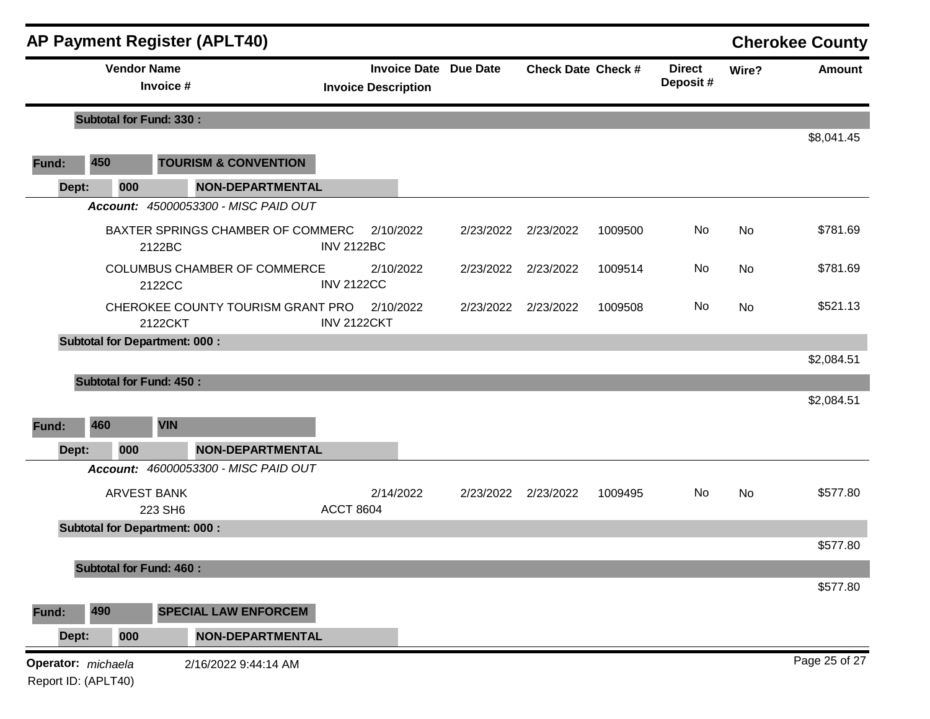| <b>AP Payment Register (APLT40)</b> |                                           |                                               |                    |                                                            |           |                           |         |                           |       | <b>Cherokee County</b> |
|-------------------------------------|-------------------------------------------|-----------------------------------------------|--------------------|------------------------------------------------------------|-----------|---------------------------|---------|---------------------------|-------|------------------------|
|                                     | <b>Vendor Name</b>                        | Invoice #                                     |                    | <b>Invoice Date Due Date</b><br><b>Invoice Description</b> |           | <b>Check Date Check #</b> |         | <b>Direct</b><br>Deposit# | Wire? | <b>Amount</b>          |
|                                     | <b>Subtotal for Fund: 330:</b>            |                                               |                    |                                                            |           |                           |         |                           |       |                        |
|                                     |                                           |                                               |                    |                                                            |           |                           |         |                           |       | \$8,041.45             |
| Fund:                               | 450                                       | <b>TOURISM &amp; CONVENTION</b>               |                    |                                                            |           |                           |         |                           |       |                        |
| Dept:                               | 000                                       | <b>NON-DEPARTMENTAL</b>                       |                    |                                                            |           |                           |         |                           |       |                        |
|                                     |                                           | Account: 45000053300 - MISC PAID OUT          |                    |                                                            |           |                           |         |                           |       |                        |
|                                     |                                           | BAXTER SPRINGS CHAMBER OF COMMERC<br>2122BC   | <b>INV 2122BC</b>  | 2/10/2022                                                  | 2/23/2022 | 2/23/2022                 | 1009500 | No                        | No    | \$781.69               |
|                                     |                                           | <b>COLUMBUS CHAMBER OF COMMERCE</b><br>2122CC | <b>INV 2122CC</b>  | 2/10/2022                                                  | 2/23/2022 | 2/23/2022                 | 1009514 | No                        | No    | \$781.69               |
|                                     |                                           | CHEROKEE COUNTY TOURISM GRANT PRO<br>2122CKT  | <b>INV 2122CKT</b> | 2/10/2022                                                  |           | 2/23/2022 2/23/2022       | 1009508 | No                        | No    | \$521.13               |
|                                     |                                           | <b>Subtotal for Department: 000:</b>          |                    |                                                            |           |                           |         |                           |       |                        |
|                                     |                                           |                                               |                    |                                                            |           |                           |         |                           |       | \$2,084.51             |
|                                     | <b>Subtotal for Fund: 450:</b>            |                                               |                    |                                                            |           |                           |         |                           |       |                        |
|                                     |                                           |                                               |                    |                                                            |           |                           |         |                           |       | \$2,084.51             |
| Fund:                               | 460                                       | <b>VIN</b>                                    |                    |                                                            |           |                           |         |                           |       |                        |
| Dept:                               | 000                                       | <b>NON-DEPARTMENTAL</b>                       |                    |                                                            |           |                           |         |                           |       |                        |
|                                     |                                           | Account: 46000053300 - MISC PAID OUT          |                    |                                                            |           |                           |         |                           |       |                        |
|                                     |                                           | <b>ARVEST BANK</b><br>223 SH6                 | <b>ACCT 8604</b>   | 2/14/2022                                                  | 2/23/2022 | 2/23/2022                 | 1009495 | No                        | No    | \$577.80               |
|                                     |                                           | <b>Subtotal for Department: 000:</b>          |                    |                                                            |           |                           |         |                           |       | \$577.80               |
|                                     |                                           |                                               |                    |                                                            |           |                           |         |                           |       |                        |
|                                     | <b>Subtotal for Fund: 460:</b>            |                                               |                    |                                                            |           |                           |         |                           |       | \$577.80               |
| Fund:                               | 490                                       | <b>SPECIAL LAW ENFORCEM</b>                   |                    |                                                            |           |                           |         |                           |       |                        |
| Dept:                               | 000                                       | <b>NON-DEPARTMENTAL</b>                       |                    |                                                            |           |                           |         |                           |       |                        |
|                                     | Operator: michaela<br>Report ID: (APLT40) | 2/16/2022 9:44:14 AM                          |                    |                                                            |           |                           |         |                           |       | Page 25 of 27          |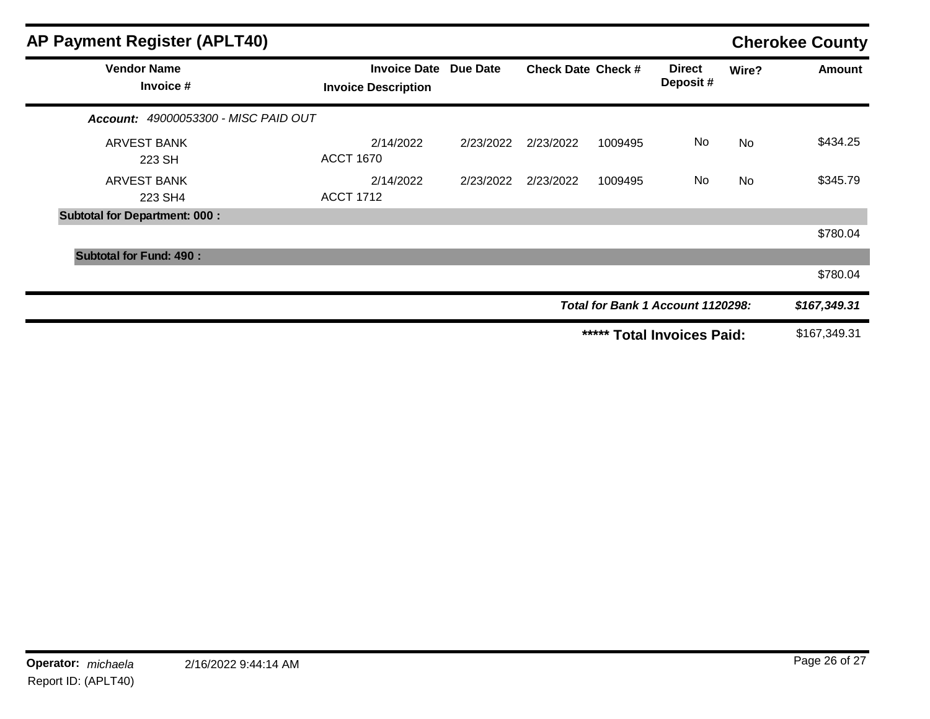| <b>AP Payment Register (APLT40)</b>         |                                                   |           |                           |         |                                   |           | <b>Cherokee County</b> |
|---------------------------------------------|---------------------------------------------------|-----------|---------------------------|---------|-----------------------------------|-----------|------------------------|
| <b>Vendor Name</b><br>Invoice #             | <b>Invoice Date</b><br><b>Invoice Description</b> | Due Date  | <b>Check Date Check #</b> |         | <b>Direct</b><br>Deposit#         | Wire?     | <b>Amount</b>          |
| <b>Account: 49000053300 - MISC PAID OUT</b> |                                                   |           |                           |         |                                   |           |                        |
| <b>ARVEST BANK</b><br>223 SH                | 2/14/2022<br><b>ACCT 1670</b>                     | 2/23/2022 | 2/23/2022                 | 1009495 | No.                               | <b>No</b> | \$434.25               |
| <b>ARVEST BANK</b><br>223 SH4               | 2/14/2022<br><b>ACCT 1712</b>                     | 2/23/2022 | 2/23/2022                 | 1009495 | <b>No</b>                         | No        | \$345.79               |
| <b>Subtotal for Department: 000:</b>        |                                                   |           |                           |         |                                   |           |                        |
|                                             |                                                   |           |                           |         |                                   |           | \$780.04               |
| <b>Subtotal for Fund: 490:</b>              |                                                   |           |                           |         |                                   |           |                        |
|                                             |                                                   |           |                           |         |                                   |           | \$780.04               |
|                                             |                                                   |           |                           |         | Total for Bank 1 Account 1120298: |           | \$167,349.31           |
|                                             |                                                   |           |                           | *****   | <b>Total Invoices Paid:</b>       |           | \$167,349.31           |